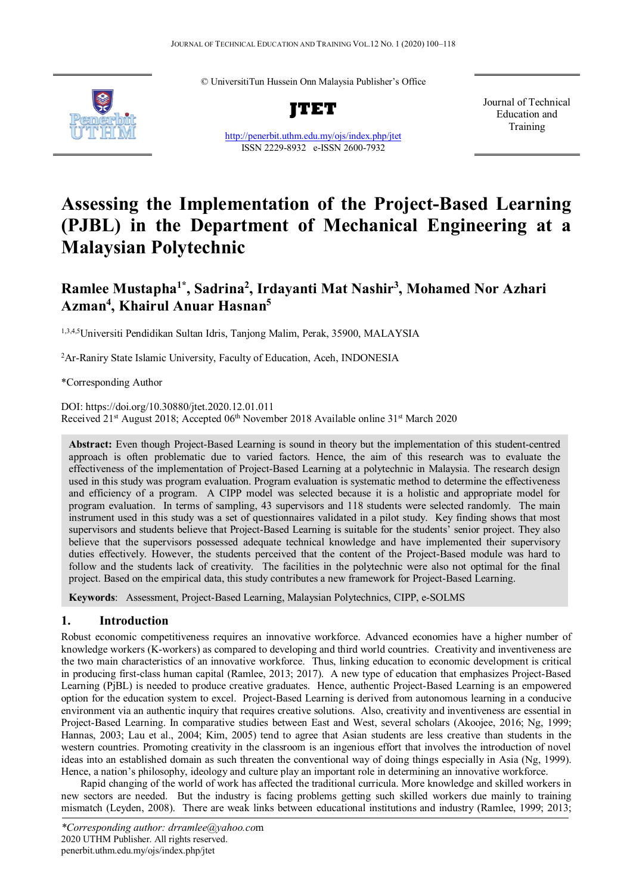© UniversitiTun Hussein Onn Malaysia Publisher's Office



**JTET**

<http://penerbit.uthm.edu.my/ojs/index.php/jtet> ISSN 2229-8932 e-ISSN 2600-7932

Journal of Technical Education and Training

# **Assessing the Implementation of the Project-Based Learning (PJBL) in the Department of Mechanical Engineering at a Malaysian Polytechnic**

# **Ramlee Mustapha1\*, Sadrina2 , Irdayanti Mat Nashir3 , Mohamed Nor Azhari Azman4 , Khairul Anuar Hasnan5**

1,3,4,5Universiti Pendidikan Sultan Idris, Tanjong Malim, Perak, 35900, MALAYSIA

<sup>2</sup>Ar-Raniry State Islamic University, Faculty of Education, Aceh, INDONESIA

\*Corresponding Author

DOI: https://doi.org/10.30880/jtet.2020.12.01.011 Received 21<sup>st</sup> August 2018; Accepted 06<sup>th</sup> November 2018 Available online 31<sup>st</sup> March 2020

**Abstract:** Even though Project-Based Learning is sound in theory but the implementation of this student-centred approach is often problematic due to varied factors. Hence, the aim of this research was to evaluate the effectiveness of the implementation of Project-Based Learning at a polytechnic in Malaysia. The research design used in this study was program evaluation. Program evaluation is systematic method to determine the effectiveness and efficiency of a program. A CIPP model was selected because it is a holistic and appropriate model for program evaluation. In terms of sampling, 43 supervisors and 118 students were selected randomly. The main instrument used in this study was a set of questionnaires validated in a pilot study. Key finding shows that most supervisors and students believe that Project-Based Learning is suitable for the students' senior project. They also believe that the supervisors possessed adequate technical knowledge and have implemented their supervisory duties effectively. However, the students perceived that the content of the Project-Based module was hard to follow and the students lack of creativity. The facilities in the polytechnic were also not optimal for the final project. Based on the empirical data, this study contributes a new framework for Project-Based Learning.

**Keywords**: Assessment, Project-Based Learning, Malaysian Polytechnics, CIPP, e-SOLMS

# **1. Introduction**

Robust economic competitiveness requires an innovative workforce. Advanced economies have a higher number of knowledge workers (K-workers) as compared to developing and third world countries. Creativity and inventiveness are the two main characteristics of an innovative workforce. Thus, linking education to economic development is critical in producing first-class human capital (Ramlee, 2013; 2017). A new type of education that emphasizes Project-Based Learning (PjBL) is needed to produce creative graduates. Hence, authentic Project-Based Learning is an empowered option for the education system to excel. Project-Based Learning is derived from autonomous learning in a conducive environment via an authentic inquiry that requires creative solutions. Also, creativity and inventiveness are essential in Project-Based Learning. In comparative studies between East and West, several scholars (Akoojee, 2016; Ng, 1999; Hannas, 2003; Lau et al., 2004; Kim, 2005) tend to agree that Asian students are less creative than students in the western countries. Promoting creativity in the classroom is an ingenious effort that involves the introduction of novel ideas into an established domain as such threaten the conventional way of doing things especially in Asia (Ng, 1999). Hence, a nation's philosophy, ideology and culture play an important role in determining an innovative workforce.

Rapid changing of the world of work has affected the traditional curricula. More knowledge and skilled workers in new sectors are needed. But the industry is facing problems getting such skilled workers due mainly to training mismatch (Leyden, 2008). There are weak links between educational institutions and industry (Ramlee, 1999; 2013;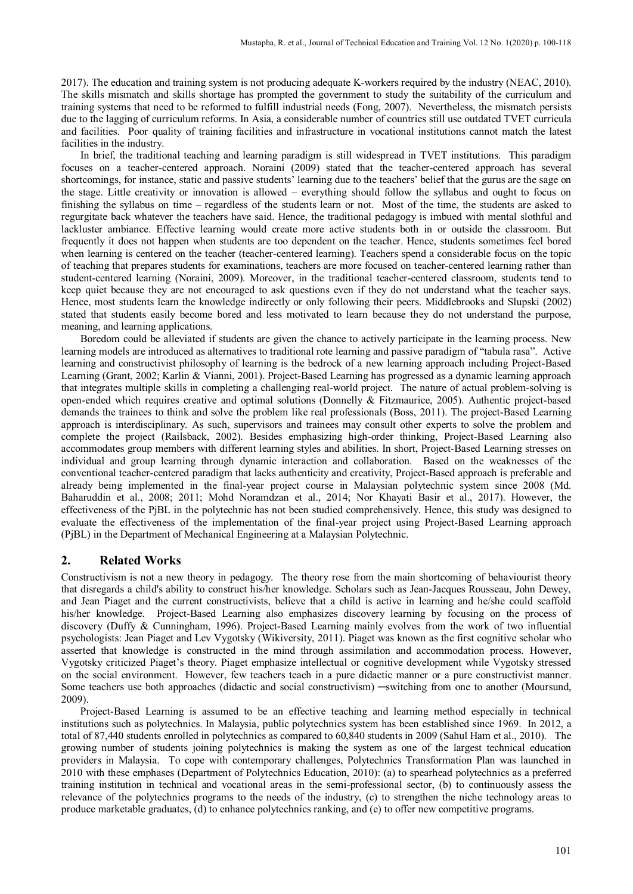2017). The education and training system is not producing adequate K-workers required by the industry (NEAC, 2010). The skills mismatch and skills shortage has prompted the government to study the suitability of the curriculum and training systems that need to be reformed to fulfill industrial needs (Fong, 2007). Nevertheless, the mismatch persists due to the lagging of curriculum reforms. In Asia, a considerable number of countries still use outdated TVET curricula and facilities. Poor quality of training facilities and infrastructure in vocational institutions cannot match the latest facilities in the industry.

In brief, the traditional teaching and learning paradigm is still widespread in TVET institutions. This paradigm focuses on a teacher-centered approach. Noraini (2009) stated that the teacher-centered approach has several shortcomings, for instance, static and passive students' learning due to the teachers' belief that the gurus are the sage on the stage. Little creativity or innovation is allowed – everything should follow the syllabus and ought to focus on finishing the syllabus on time – regardless of the students learn or not. Most of the time, the students are asked to regurgitate back whatever the teachers have said. Hence, the traditional pedagogy is imbued with mental slothful and lackluster ambiance. Effective learning would create more active students both in or outside the classroom. But frequently it does not happen when students are too dependent on the teacher. Hence, students sometimes feel bored when learning is centered on the teacher (teacher-centered learning). Teachers spend a considerable focus on the topic of teaching that prepares students for examinations, teachers are more focused on teacher-centered learning rather than student-centered learning (Noraini, 2009). Moreover, in the traditional teacher-centered classroom, students tend to keep quiet because they are not encouraged to ask questions even if they do not understand what the teacher says. Hence, most students learn the knowledge indirectly or only following their peers. Middlebrooks and Slupski (2002) stated that students easily become bored and less motivated to learn because they do not understand the purpose, meaning, and learning applications.

Boredom could be alleviated if students are given the chance to actively participate in the learning process. New learning models are introduced as alternatives to traditional rote learning and passive paradigm of "tabula rasa". Active learning and constructivist philosophy of learning is the bedrock of a new learning approach including Project-Based Learning (Grant, 2002; Karlin & Vianni, 2001). Project-Based Learning has progressed as a dynamic learning approach that integrates multiple skills in completing a challenging real-world project. The nature of actual problem-solving is open-ended which requires creative and optimal solutions (Donnelly & Fitzmaurice, 2005). Authentic project-based demands the trainees to think and solve the problem like real professionals (Boss, 2011). The project-Based Learning approach is interdisciplinary. As such, supervisors and trainees may consult other experts to solve the problem and complete the project (Railsback, 2002). Besides emphasizing high-order thinking, Project-Based Learning also accommodates group members with different learning styles and abilities. In short, Project-Based Learning stresses on individual and group learning through dynamic interaction and collaboration. Based on the weaknesses of the conventional teacher-centered paradigm that lacks authenticity and creativity, Project-Based approach is preferable and already being implemented in the final-year project course in Malaysian polytechnic system since 2008 (Md. Baharuddin et al., 2008; 2011; Mohd Noramdzan et al., 2014; Nor Khayati Basir et al., 2017). However, the effectiveness of the PjBL in the polytechnic has not been studied comprehensively. Hence, this study was designed to evaluate the effectiveness of the implementation of the final-year project using Project-Based Learning approach (PjBL) in the Department of Mechanical Engineering at a Malaysian Polytechnic.

#### **2. Related Works**

Constructivism is not a new theory in pedagogy. The theory rose from the main shortcoming of behaviourist theory that disregards a child's ability to construct his/her knowledge. Scholars such as Jean-Jacques Rousseau, John Dewey, and Jean Piaget and the current constructivists, believe that a child is active in learning and he/she could scaffold his/her knowledge. Project-Based Learning also emphasizes discovery learning by focusing on the process of discovery (Duffy & Cunningham, 1996). Project-Based Learning mainly evolves from the work of two influential psychologists: Jean Piaget and Lev Vygotsky (Wikiversity, 2011). Piaget was known as the first cognitive scholar who asserted that knowledge is constructed in the mind through assimilation and accommodation process. However, Vygotsky criticized Piaget's theory. Piaget emphasize intellectual or cognitive development while Vygotsky stressed on the social environment. However, few teachers teach in a pure didactic manner or a pure constructivist manner. Some teachers use both approaches (didactic and social constructivism) —switching from one to another (Moursund, 2009).

Project-Based Learning is assumed to be an effective teaching and learning method especially in technical institutions such as polytechnics. In Malaysia, public polytechnics system has been established since 1969. In 2012, a total of 87,440 students enrolled in polytechnics as compared to 60,840 students in 2009 (Sahul Ham et al., 2010). The growing number of students joining polytechnics is making the system as one of the largest technical education providers in Malaysia. To cope with contemporary challenges, Polytechnics Transformation Plan was launched in 2010 with these emphases (Department of Polytechnics Education, 2010): (a) to spearhead polytechnics as a preferred training institution in technical and vocational areas in the semi-professional sector, (b) to continuously assess the relevance of the polytechnics programs to the needs of the industry, (c) to strengthen the niche technology areas to produce marketable graduates, (d) to enhance polytechnics ranking, and (e) to offer new competitive programs.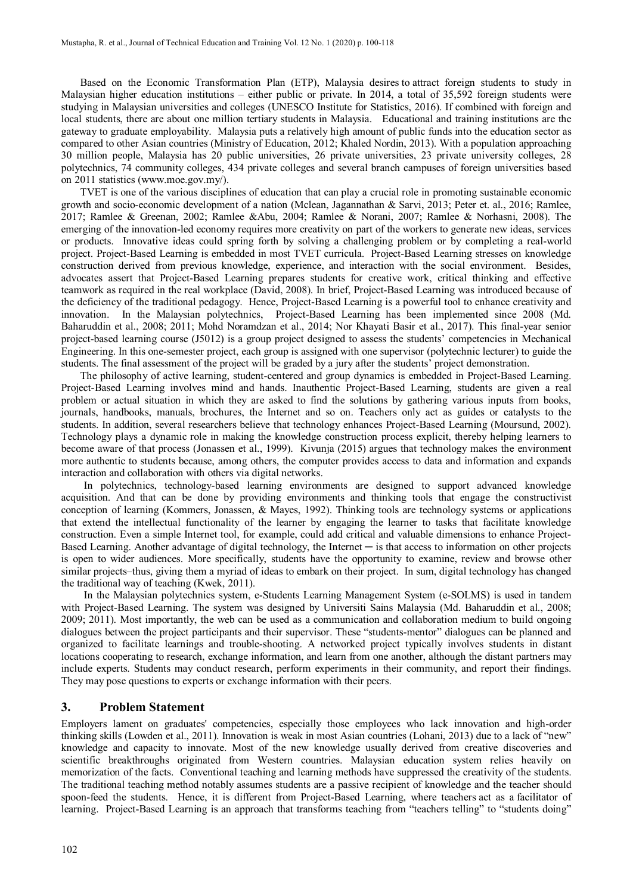Based on the Economic Transformation Plan (ETP), Malaysia desires to attract foreign students to study in Malaysian higher education institutions – either public or private. In 2014, a total of 35,592 foreign students were studying in Malaysian universities and colleges (UNESCO Institute for Statistics, 2016). If combined with foreign and local students, there are about one million tertiary students in Malaysia. Educational and training institutions are the gateway to graduate employability. Malaysia puts a relatively high amount of public funds into the education sector as compared to other Asian countries (Ministry of Education, 2012; Khaled Nordin, 2013). With a population approaching 30 million people, Malaysia has 20 public universities, 26 private universities, 23 private university colleges, 28 polytechnics, 74 community colleges, 434 private colleges and several branch campuses of foreign universities based on 2011 statistics [\(www.moe.gov.my/\)](http://www.moe.gov.my/).

TVET is one of the various disciplines of education that can play a crucial role in promoting sustainable economic growth and socio-economic development of a nation (Mclean, Jagannathan & Sarvi, 2013; Peter et. al., 2016; Ramlee, 2017; Ramlee & Greenan, 2002; Ramlee &Abu, 2004; Ramlee & Norani, 2007; Ramlee & Norhasni, 2008). The emerging of the innovation-led economy requires more creativity on part of the workers to generate new ideas, services or products. Innovative ideas could spring forth by solving a challenging problem or by completing a real-world project. Project-Based Learning is embedded in most TVET curricula. Project-Based Learning stresses on knowledge construction derived from previous knowledge, experience, and interaction with the social environment. Besides, advocates assert that Project-Based Learning prepares students for creative work, critical thinking and effective teamwork as required in the real workplace (David, 2008). In brief, Project-Based Learning was introduced because of the deficiency of the traditional pedagogy. Hence, Project-Based Learning is a powerful tool to enhance creativity and innovation. In the Malaysian polytechnics, Project-Based Learning has been implemented since 2008 (Md. Baharuddin et al., 2008; 2011; Mohd Noramdzan et al., 2014; Nor Khayati Basir et al., 2017). This final-year senior project-based learning course (J5012) is a group project designed to assess the students' competencies in Mechanical Engineering. In this one-semester project, each group is assigned with one supervisor (polytechnic lecturer) to guide the students. The final assessment of the project will be graded by a jury after the students' project demonstration.

The philosophy of active learning, student-centered and group dynamics is embedded in Project-Based Learning. Project-Based Learning involves mind and hands. Inauthentic Project-Based Learning, students are given a real problem or actual situation in which they are asked to find the solutions by gathering various inputs from books, journals, handbooks, manuals, brochures, the Internet and so on. Teachers only act as guides or catalysts to the students. In addition, several researchers believe that technology enhances Project-Based Learning (Moursund, 2002). Technology plays a dynamic role in making the knowledge construction process explicit, thereby helping learners to become aware of that process (Jonassen et al., 1999). Kivunja (2015) argues that technology makes the environment more authentic to students because, among others, the computer provides access to data and information and expands interaction and collaboration with others via digital networks.

In polytechnics, technology-based learning environments are designed to support advanced knowledge acquisition. And that can be done by providing environments and thinking tools that engage the constructivist conception of learning (Kommers, Jonassen, & Mayes, 1992). Thinking tools are technology systems or applications that extend the intellectual functionality of the learner by engaging the learner to tasks that facilitate knowledge construction. Even a simple Internet tool, for example, could add critical and valuable dimensions to enhance Project-Based Learning. Another advantage of digital technology, the Internet — is that access to information on other projects is open to wider audiences. More specifically, students have the opportunity to examine, review and browse other similar projects–thus, giving them a myriad of ideas to embark on their project. In sum, digital technology has changed the traditional way of teaching (Kwek, 2011).

In the Malaysian polytechnics system, e-Students Learning Management System (e-SOLMS) is used in tandem with Project-Based Learning. The system was designed by Universiti Sains Malaysia (Md. Baharuddin et al., 2008; 2009; 2011). Most importantly, the web can be used as a communication and collaboration medium to build ongoing dialogues between the project participants and their supervisor. These "students-mentor" dialogues can be planned and organized to facilitate learnings and trouble-shooting. A networked project typically involves students in distant locations cooperating to research, exchange information, and learn from one another, although the distant partners may include experts. Students may conduct research, perform experiments in their community, and report their findings. They may pose questions to experts or exchange information with their peers.

#### **3. Problem Statement**

Employers lament on graduates' competencies, especially those employees who lack innovation and high-order thinking skills (Lowden et al., 2011). Innovation is weak in most Asian countries (Lohani, 2013) due to a lack of "new" knowledge and capacity to innovate. Most of the new knowledge usually derived from creative discoveries and scientific breakthroughs originated from Western countries. Malaysian education system relies heavily on memorization of the facts. Conventional teaching and learning methods have suppressed the creativity of the students. The traditional teaching method notably assumes students are a passive recipient of knowledge and the teacher should spoon-feed the students. Hence, it is different from Project-Based Learning, where teachers act as a facilitator of learning. Project-Based Learning is an approach that transforms teaching from "teachers telling" to "students doing"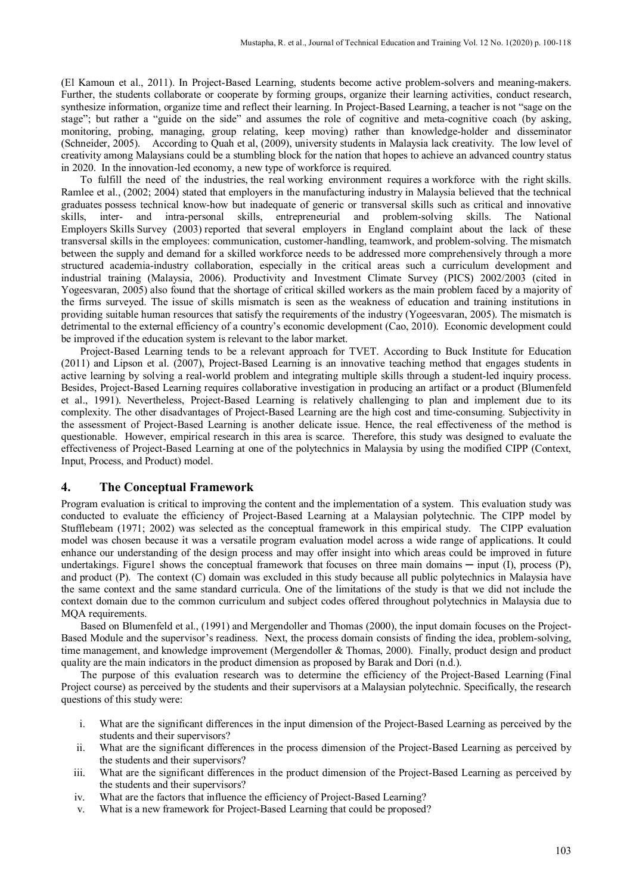(El Kamoun et al., 2011). In Project-Based Learning, students become active problem-solvers and meaning-makers. Further, the students collaborate or cooperate by forming groups, organize their learning activities, conduct research, synthesize information, organize time and reflect their learning. In Project-Based Learning, a teacher is not "sage on the stage"; but rather a "guide on the side" and assumes the role of cognitive and meta-cognitive coach (by asking, monitoring, probing, managing, group relating, keep moving) rather than knowledge-holder and disseminator (Schneider, 2005). According to Quah et al, (2009), university students in Malaysia lack creativity. The low level of creativity among Malaysians could be a stumbling block for the nation that hopes to achieve an advanced country status in 2020. In the innovation-led economy, a new type of workforce is required.

To fulfill the need of the industries, the real working environment requires a workforce with the right skills. Ramlee et al., (2002; 2004) stated that employers in the manufacturing industry in Malaysia believed that the technical graduates possess technical know-how but inadequate of generic or transversal skills such as critical and innovative skills, inter- and intra-personal skills, entrepreneurial and problem-solving skills. The National Employers Skills Survey (2003) reported that several employers in England complaint about the lack of these transversal skills in the employees: communication, customer-handling, teamwork, and problem-solving. The mismatch between the supply and demand for a skilled workforce needs to be addressed more comprehensively through a more structured academia-industry collaboration, especially in the critical areas such a curriculum development and industrial training (Malaysia, 2006). Productivity and Investment Climate Survey (PICS) 2002/2003 (cited in Yogeesvaran, 2005) also found that the shortage of critical skilled workers as the main problem faced by a majority of the firms surveyed. The issue of skills mismatch is seen as the weakness of education and training institutions in providing suitable human resources that satisfy the requirements of the industry (Yogeesvaran, 2005). The mismatch is detrimental to the external efficiency of a country's economic development (Cao, 2010). Economic development could be improved if the education system is relevant to the labor market.

Project-Based Learning tends to be a relevant approach for TVET. According to Buck Institute for Education (2011) and Lipson et al. (2007), Project-Based Learning is an innovative teaching method that engages students in active learning by solving a real-world problem and integrating multiple skills through a student-led inquiry process. Besides, Project-Based Learning requires collaborative investigation in producing an artifact or a product (Blumenfeld et al., 1991). Nevertheless, Project-Based Learning is relatively challenging to plan and implement due to its complexity. The other disadvantages of Project-Based Learning are the high cost and time-consuming. Subjectivity in the assessment of Project-Based Learning is another delicate issue. Hence, the real effectiveness of the method is questionable. However, empirical research in this area is scarce. Therefore, this study was designed to evaluate the effectiveness of Project-Based Learning at one of the polytechnics in Malaysia by using the modified CIPP (Context, Input, Process, and Product) model.

# **4. The Conceptual Framework**

Program evaluation is critical to improving the content and the implementation of a system. This evaluation study was conducted to evaluate the efficiency of Project-Based Learning at a Malaysian polytechnic. The CIPP model by Stufflebeam (1971; 2002) was selected as the conceptual framework in this empirical study. The CIPP evaluation model was chosen because it was a versatile program evaluation model across a wide range of applications. It could enhance our understanding of the design process and may offer insight into which areas could be improved in future undertakings. Figure1 shows the conceptual framework that focuses on three main domains  $-$  input  $(I)$ , process  $(P)$ , and product (P). The context (C) domain was excluded in this study because all public polytechnics in Malaysia have the same context and the same standard curricula. One of the limitations of the study is that we did not include the context domain due to the common curriculum and subject codes offered throughout polytechnics in Malaysia due to MQA requirements.

Based on Blumenfeld et al., (1991) and Mergendoller and Thomas (2000), the input domain focuses on the Project-Based Module and the supervisor's readiness. Next, the process domain consists of finding the idea, problem-solving, time management, and knowledge improvement (Mergendoller & Thomas, 2000). Finally, product design and product quality are the main indicators in the product dimension as proposed by Barak and Dori (n.d.).

The purpose of this evaluation research was to determine the efficiency of the Project-Based Learning (Final Project course) as perceived by the students and their supervisors at a Malaysian polytechnic. Specifically, the research questions of this study were:

- i. What are the significant differences in the input dimension of the Project-Based Learning as perceived by the students and their supervisors?
- ii. What are the significant differences in the process dimension of the Project-Based Learning as perceived by the students and their supervisors?
- iii. What are the significant differences in the product dimension of the Project-Based Learning as perceived by the students and their supervisors?
- iv. What are the factors that influence the efficiency of Project-Based Learning?
- v. What is a new framework for Project-Based Learning that could be proposed?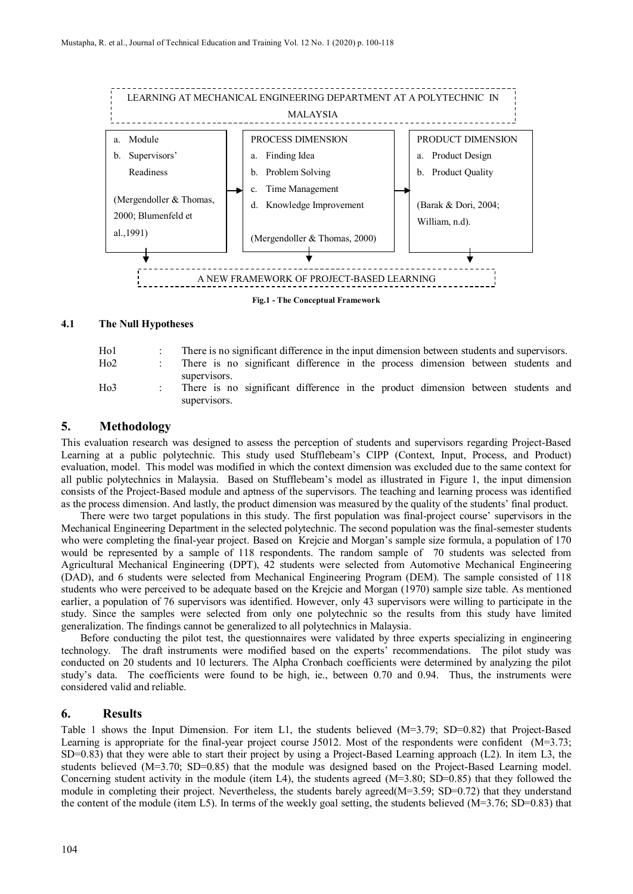

#### **4.1 The Null Hypotheses**

| Ho <sub>1</sub>  | There is no significant difference in the input dimension between students and supervisors.                      |
|------------------|------------------------------------------------------------------------------------------------------------------|
| Ho2              | There is no significant difference in the process dimension between students and                                 |
| H <sub>0</sub> 3 | supervisors.<br>There is no significant difference in the product dimension between students and<br>supervisors. |

### **5. Methodology**

This evaluation research was designed to assess the perception of students and supervisors regarding Project-Based Learning at a public polytechnic. This study used Stufflebeam's CIPP (Context, Input, Process, and Product) evaluation, model. This model was modified in which the context dimension was excluded due to the same context for all public polytechnics in Malaysia. Based on Stufflebeam's model as illustrated in Figure 1, the input dimension consists of the Project-Based module and aptness of the supervisors. The teaching and learning process was identified as the process dimension. And lastly, the product dimension was measured by the quality of the students' final product.

There were two target populations in this study. The first population was final-project course' supervisors in the Mechanical Engineering Department in the selected polytechnic. The second population was the final-semester students who were completing the final-year project. Based on Krejcie and Morgan's sample size formula, a population of 170 would be represented by a sample of 118 respondents. The random sample of 70 students was selected from Agricultural Mechanical Engineering (DPT), 42 students were selected from Automotive Mechanical Engineering (DAD), and 6 students were selected from Mechanical Engineering Program (DEM). The sample consisted of 118 students who were perceived to be adequate based on the Krejcie and Morgan (1970) sample size table. As mentioned earlier, a population of 76 supervisors was identified. However, only 43 supervisors were willing to participate in the study. Since the samples were selected from only one polytechnic so the results from this study have limited generalization. The findings cannot be generalized to all polytechnics in Malaysia.

Before conducting the pilot test, the questionnaires were validated by three experts specializing in engineering technology. The draft instruments were modified based on the experts' recommendations. The pilot study was conducted on 20 students and 10 lecturers. The Alpha Cronbach coefficients were determined by analyzing the pilot study's data. The coefficients were found to be high, ie., between 0.70 and 0.94. Thus, the instruments were considered valid and reliable.

#### **6. Results**

Table 1 shows the Input Dimension. For item L1, the students believed (M=3.79; SD=0.82) that Project-Based Learning is appropriate for the final-year project course J5012. Most of the respondents were confident (M=3.73; SD=0.83) that they were able to start their project by using a Project-Based Learning approach (L2). In item L3, the students believed (M=3.70; SD=0.85) that the module was designed based on the Project-Based Learning model. Concerning student activity in the module (item L4), the students agreed (M=3.80; SD=0.85) that they followed the module in completing their project. Nevertheless, the students barely agreed(M=3.59; SD=0.72) that they understand the content of the module (item L5). In terms of the weekly goal setting, the students believed  $(M=3.76; SD=0.83)$  that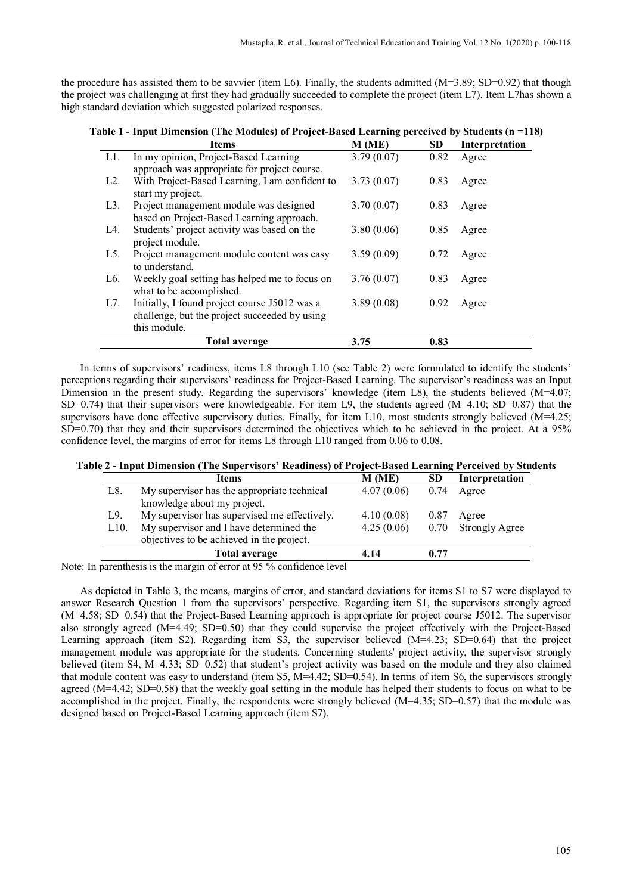the procedure has assisted them to be savvier (item L6). Finally, the students admitted  $(M=3.89; SD=0.92)$  that though the project was challenging at first they had gradually succeeded to complete the project (item L7). Item L7has shown a high standard deviation which suggested polarized responses.

|                  | <b>Items</b>                                                                                                   | M(ME)      | SD   | Interpretation |
|------------------|----------------------------------------------------------------------------------------------------------------|------------|------|----------------|
| L1.              | In my opinion, Project-Based Learning<br>approach was appropriate for project course.                          | 3.79(0.07) | 0.82 | Agree          |
| L2.              | With Project-Based Learning, I am confident to<br>start my project.                                            | 3.73(0.07) | 0.83 | Agree          |
| $L3$ .           | Project management module was designed<br>based on Project-Based Learning approach.                            | 3.70(0.07) | 0.83 | Agree          |
| L4.              | Students' project activity was based on the<br>project module.                                                 | 3.80(0.06) | 0.85 | Agree          |
| L5.              | Project management module content was easy<br>to understand.                                                   | 3.59(0.09) | 0.72 | Agree          |
| L <sub>6</sub> . | Weekly goal setting has helped me to focus on<br>what to be accomplished.                                      | 3.76(0.07) | 0.83 | Agree          |
| L7.              | Initially, I found project course J5012 was a<br>challenge, but the project succeeded by using<br>this module. | 3.89(0.08) | 0.92 | Agree          |
|                  | Total average                                                                                                  | 3.75       | 0.83 |                |

**Table 1 - Input Dimension (The Modules) of Project-Based Learning perceived by Students (n =118)**

In terms of supervisors' readiness, items L8 through L10 (see Table 2) were formulated to identify the students' perceptions regarding their supervisors' readiness for Project-Based Learning. The supervisor's readiness was an Input Dimension in the present study. Regarding the supervisors' knowledge (item L8), the students believed (M=4.07; SD=0.74) that their supervisors were knowledgeable. For item L9, the students agreed (M=4.10; SD=0.87) that the supervisors have done effective supervisory duties. Finally, for item L10, most students strongly believed (M=4.25; SD=0.70) that they and their supervisors determined the objectives which to be achieved in the project. At a 95% confidence level, the margins of error for items L8 through L10 ranged from 0.06 to 0.08.

#### **Table 2 - Input Dimension (The Supervisors' Readiness) of Project-Based Learning Perceived by Students**

|                   | <b>Items</b>                                 | M (ME)     | SD   | Interpretation        |
|-------------------|----------------------------------------------|------------|------|-----------------------|
| L8.               | My supervisor has the appropriate technical  | 4.07(0.06) | 0.74 | Agree                 |
|                   | knowledge about my project.                  |            |      |                       |
| L9.               | My supervisor has supervised me effectively. | 4.10(0.08) | 0.87 | Agree                 |
| L <sub>10</sub> . | My supervisor and I have determined the      | 4.25(0.06) | 0.70 | <b>Strongly Agree</b> |
|                   | objectives to be achieved in the project.    |            |      |                       |
|                   | Total average                                | 4.14       | 0.77 |                       |

Note: In parenthesis is the margin of error at 95 % confidence level

As depicted in Table 3, the means, margins of error, and standard deviations for items S1 to S7 were displayed to answer Research Question 1 from the supervisors' perspective. Regarding item S1, the supervisors strongly agreed (M=4.58; SD=0.54) that the Project-Based Learning approach is appropriate for project course J5012. The supervisor also strongly agreed (M=4.49; SD=0.50) that they could supervise the project effectively with the Project-Based Learning approach (item S2). Regarding item S3, the supervisor believed (M=4.23; SD=0.64) that the project management module was appropriate for the students. Concerning students' project activity, the supervisor strongly believed (item S4, M=4.33; SD=0.52) that student's project activity was based on the module and they also claimed that module content was easy to understand (item S5,  $M=4.42$ ; SD=0.54). In terms of item S6, the supervisors strongly agreed (M=4.42; SD=0.58) that the weekly goal setting in the module has helped their students to focus on what to be accomplished in the project. Finally, the respondents were strongly believed (M=4.35; SD=0.57) that the module was designed based on Project-Based Learning approach (item S7).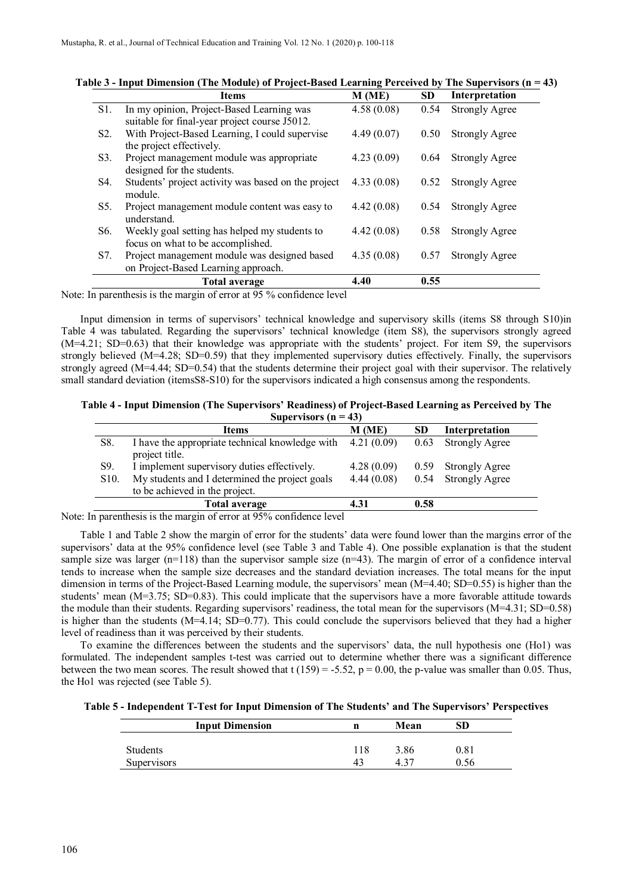|                  | <b>Items</b>                                                                        | M(ME)      | <b>SD</b> | Interpretation        |
|------------------|-------------------------------------------------------------------------------------|------------|-----------|-----------------------|
| S1.              | In my opinion, Project-Based Learning was                                           | 4.58(0.08) | 0.54      | <b>Strongly Agree</b> |
|                  | suitable for final-year project course J5012.                                       |            |           |                       |
| S <sub>2</sub> . | With Project-Based Learning, I could supervise<br>the project effectively.          | 4.49(0.07) | 0.50      | <b>Strongly Agree</b> |
| S3.              | Project management module was appropriate<br>designed for the students.             | 4.23(0.09) | 0.64      | <b>Strongly Agree</b> |
| S4.              | Students' project activity was based on the project<br>module.                      | 4.33(0.08) | 0.52      | <b>Strongly Agree</b> |
| S5.              | Project management module content was easy to<br>understand.                        | 4.42(0.08) | 0.54      | <b>Strongly Agree</b> |
| S6.              | Weekly goal setting has helped my students to<br>focus on what to be accomplished.  | 4.42(0.08) | 0.58      | <b>Strongly Agree</b> |
| S7.              | Project management module was designed based<br>on Project-Based Learning approach. | 4.35(0.08) | 0.57      | <b>Strongly Agree</b> |
|                  | <b>Total average</b>                                                                | 4.40       | 0.55      |                       |

| Table 3 - Input Dimension (The Module) of Project-Based Learning Perceived by The Supervisors ( $n = 43$ ) |  |  |  |  |  |
|------------------------------------------------------------------------------------------------------------|--|--|--|--|--|
|------------------------------------------------------------------------------------------------------------|--|--|--|--|--|

Note: In parenthesis is the margin of error at 95 % confidence level

Input dimension in terms of supervisors' technical knowledge and supervisory skills (items S8 through S10)in Table 4 was tabulated. Regarding the supervisors' technical knowledge (item S8), the supervisors strongly agreed (M=4.21; SD=0.63) that their knowledge was appropriate with the students' project. For item S9, the supervisors strongly believed (M=4.28; SD=0.59) that they implemented supervisory duties effectively. Finally, the supervisors strongly agreed (M=4.44; SD=0.54) that the students determine their project goal with their supervisor. The relatively small standard deviation (itemsS8-S10) for the supervisors indicated a high consensus among the respondents.

**Table 4 - Input Dimension (The Supervisors' Readiness) of Project-Based Learning as Perceived by The Supervisors (n = 43)**

|                   | <b>Items</b>                                                                     | M(ME)      | <b>SD</b> | Interpretation        |
|-------------------|----------------------------------------------------------------------------------|------------|-----------|-----------------------|
| S8.               | I have the appropriate technical knowledge with<br>project title.                | 4.21(0.09) | 0.63      | <b>Strongly Agree</b> |
| S9.               | I implement supervisory duties effectively.                                      | 4.28(0.09) | 0.59      | <b>Strongly Agree</b> |
| S <sub>10</sub> . | My students and I determined the project goals<br>to be achieved in the project. | 4.44(0.08) | 0.54      | <b>Strongly Agree</b> |
|                   | <b>Total average</b>                                                             | 4.31       | 0.58      |                       |

Note: In parenthesis is the margin of error at 95% confidence level

Table 1 and Table 2 show the margin of error for the students' data were found lower than the margins error of the supervisors' data at the 95% confidence level (see Table 3 and Table 4). One possible explanation is that the student sample size was larger  $(n=118)$  than the supervisor sample size  $(n=43)$ . The margin of error of a confidence interval tends to increase when the sample size decreases and the standard deviation increases. The total means for the input dimension in terms of the Project-Based Learning module, the supervisors' mean (M=4.40; SD=0.55) is higher than the students' mean (M=3.75; SD=0.83). This could implicate that the supervisors have a more favorable attitude towards the module than their students. Regarding supervisors' readiness, the total mean for the supervisors (M=4.31; SD=0.58) is higher than the students (M=4.14; SD=0.77). This could conclude the supervisors believed that they had a higher level of readiness than it was perceived by their students.

To examine the differences between the students and the supervisors' data, the null hypothesis one (Ho1) was formulated. The independent samples t-test was carried out to determine whether there was a significant difference between the two mean scores. The result showed that  $t(159) = -5.52$ ,  $p = 0.00$ , the p-value was smaller than 0.05. Thus, the Ho1 was rejected (see Table 5).

|  |  | Table 5 - Independent T-Test for Input Dimension of The Students' and The Supervisors' Perspectives |  |  |  |  |
|--|--|-----------------------------------------------------------------------------------------------------|--|--|--|--|
|  |  |                                                                                                     |  |  |  |  |

| <b>Input Dimension</b> |             | Mean | SD   |
|------------------------|-------------|------|------|
| <b>Students</b>        | .18         | 3.86 | 0.81 |
| <b>Supervisors</b>     | $4^{\circ}$ | 4.37 | 0.56 |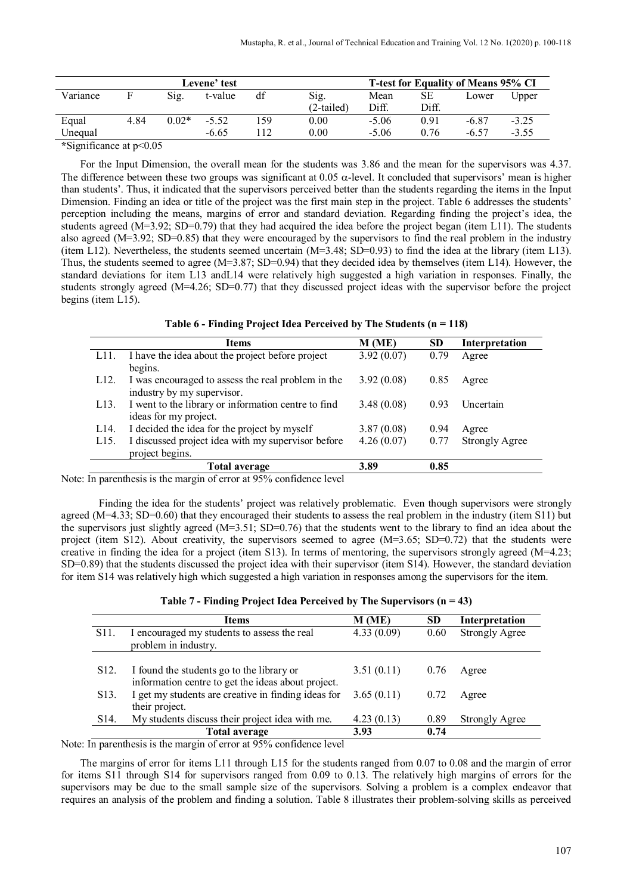| Levene' test    |      |         |         |    |              |         |       | T-test for Equality of Means 95% CI |         |
|-----------------|------|---------|---------|----|--------------|---------|-------|-------------------------------------|---------|
| Variance        |      | Sig.    | t-value | df | Sig.         | Mean    | SЕ    | Lower                               | Upper   |
|                 |      |         |         |    | $(2-tailed)$ | Diff.   | Diff. |                                     |         |
| Equal           | 4.84 | $0.02*$ | $-5.52$ | 59 | $0.00\,$     | $-5.06$ | 0.91  | -6.87                               | $-3.25$ |
| Unequal         |      |         | $-6.65$ | 12 | 0.00         | $-5.06$ | 0.76  | $-6.57$                             | $-3.55$ |
| $*0::0::4:1005$ |      |         |         |    |              |         |       |                                     |         |

**\***Significance at p<0.05

For the Input Dimension, the overall mean for the students was 3.86 and the mean for the supervisors was 4.37. The difference between these two groups was significant at  $0.05 \alpha$ -level. It concluded that supervisors' mean is higher than students'. Thus, it indicated that the supervisors perceived better than the students regarding the items in the Input Dimension. Finding an idea or title of the project was the first main step in the project. Table 6 addresses the students' perception including the means, margins of error and standard deviation. Regarding finding the project's idea, the students agreed  $(M=3.92; SD=0.79)$  that they had acquired the idea before the project began (item L11). The students also agreed (M=3.92; SD=0.85) that they were encouraged by the supervisors to find the real problem in the industry (item L12). Nevertheless, the students seemed uncertain  $(M=3.48; SD=0.93)$  to find the idea at the library (item L13). Thus, the students seemed to agree (M=3.87; SD=0.94) that they decided idea by themselves (item L14). However, the standard deviations for item L13 andL14 were relatively high suggested a high variation in responses. Finally, the students strongly agreed (M=4.26; SD=0.77) that they discussed project ideas with the supervisor before the project begins (item L15).

|                   | Items                                               | M(ME)      | <b>SD</b> | Interpretation        |
|-------------------|-----------------------------------------------------|------------|-----------|-----------------------|
| L11.              | I have the idea about the project before project    | 3.92(0.07) | 0.79      | Agree                 |
|                   | begins.                                             |            |           |                       |
| L <sub>12</sub> . | I was encouraged to assess the real problem in the  | 3.92(0.08) | 0.85      | Agree                 |
|                   | industry by my supervisor.                          |            |           |                       |
| L <sub>13</sub> . | I went to the library or information centre to find | 3.48(0.08) | 0.93      | Uncertain             |
|                   | ideas for my project.                               |            |           |                       |
| L14.              | I decided the idea for the project by myself        | 3.87(0.08) | 0.94      | Agree                 |
| L15.              | I discussed project idea with my supervisor before  | 4.26(0.07) | 0.77      | <b>Strongly Agree</b> |
|                   | project begins.                                     |            |           |                       |
|                   | Total average                                       | 3.89       | 0.85      |                       |

Note: In parenthesis is the margin of error at 95% confidence level

Finding the idea for the students' project was relatively problematic. Even though supervisors were strongly agreed (M=4.33; SD=0.60) that they encouraged their students to assess the real problem in the industry (item S11) but the supervisors just slightly agreed ( $M=3.51$ ; SD=0.76) that the students went to the library to find an idea about the project (item S12). About creativity, the supervisors seemed to agree (M=3.65; SD=0.72) that the students were creative in finding the idea for a project (item S13). In terms of mentoring, the supervisors strongly agreed (M=4.23; SD=0.89) that the students discussed the project idea with their supervisor (item S14). However, the standard deviation for item S14 was relatively high which suggested a high variation in responses among the supervisors for the item.

|                   | <b>Items</b>                                                                                                                | M (ME)     | <b>SD</b> | Interpretation        |
|-------------------|-----------------------------------------------------------------------------------------------------------------------------|------------|-----------|-----------------------|
| S <sub>11</sub> . | I encouraged my students to assess the real<br>problem in industry.                                                         | 4.33(0.09) | 0.60      | <b>Strongly Agree</b> |
| S <sub>12</sub> . | I found the students go to the library or                                                                                   | 3.51(0.11) | 0.76      | Agree                 |
| S <sub>1</sub> 3. | information centre to get the ideas about project.<br>I get my students are creative in finding ideas for<br>their project. | 3.65(0.11) | 0.72      | Agree                 |
| S <sub>14</sub> . | My students discuss their project idea with me.                                                                             | 4.23(0.13) | 0.89      | <b>Strongly Agree</b> |
|                   | <b>Total average</b>                                                                                                        | 3.93       | 0.74      |                       |

Note: In parenthesis is the margin of error at 95% confidence level

The margins of error for items L11 through L15 for the students ranged from 0.07 to 0.08 and the margin of error for items S11 through S14 for supervisors ranged from 0.09 to 0.13. The relatively high margins of errors for the supervisors may be due to the small sample size of the supervisors. Solving a problem is a complex endeavor that requires an analysis of the problem and finding a solution. Table 8 illustrates their problem-solving skills as perceived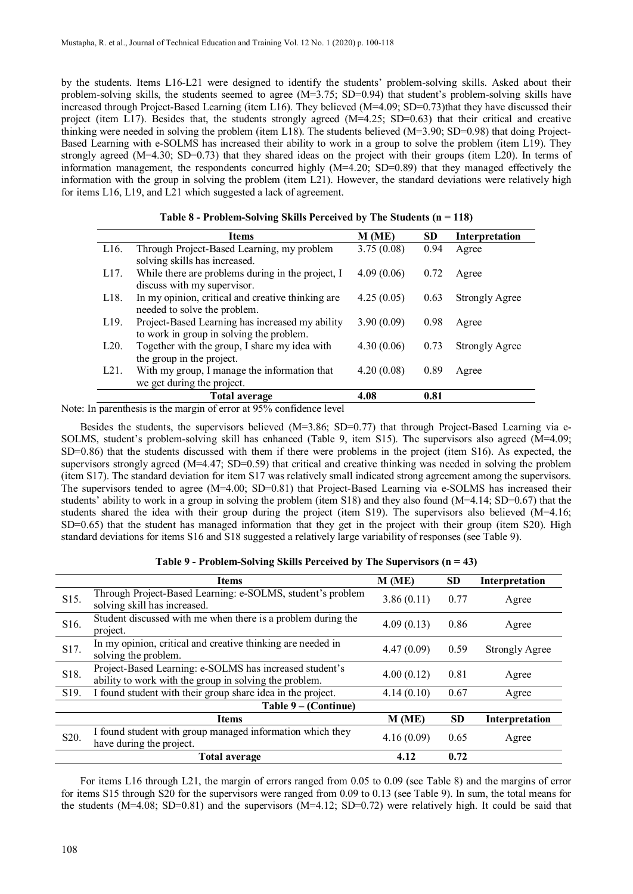by the students. Items L16-L21 were designed to identify the students' problem-solving skills. Asked about their problem-solving skills, the students seemed to agree (M=3.75; SD=0.94) that student's problem-solving skills have increased through Project-Based Learning (item L16). They believed (M=4.09; SD=0.73)that they have discussed their project (item L17). Besides that, the students strongly agreed  $(M=4.25; SD=0.63)$  that their critical and creative thinking were needed in solving the problem (item L18). The students believed (M=3.90; SD=0.98) that doing Project-Based Learning with e-SOLMS has increased their ability to work in a group to solve the problem (item L19). They strongly agreed (M=4.30; SD=0.73) that they shared ideas on the project with their groups (item L20). In terms of information management, the respondents concurred highly (M=4.20; SD=0.89) that they managed effectively the information with the group in solving the problem (item L21). However, the standard deviations were relatively high for items L16, L19, and L21 which suggested a lack of agreement.

| Interpretation<br>Agree |
|-------------------------|
|                         |
|                         |
|                         |
| Agree                   |
|                         |
| Strongly Agree          |
|                         |
| Agree                   |
|                         |
| <b>Strongly Agree</b>   |
|                         |
| Agree                   |
|                         |
|                         |
|                         |

**Table 8 - Problem-Solving Skills Perceived by The Students (n = 118)**

Note: In parenthesis is the margin of error at 95% confidence level

Besides the students, the supervisors believed (M=3.86; SD=0.77) that through Project-Based Learning via e-SOLMS, student's problem-solving skill has enhanced (Table 9, item S15). The supervisors also agreed (M=4.09; SD=0.86) that the students discussed with them if there were problems in the project (item S16). As expected, the supervisors strongly agreed (M=4.47; SD=0.59) that critical and creative thinking was needed in solving the problem (item S17). The standard deviation for item S17 was relatively small indicated strong agreement among the supervisors. The supervisors tended to agree (M=4.00; SD=0.81) that Project-Based Learning via e-SOLMS has increased their students' ability to work in a group in solving the problem (item  $S18$ ) and they also found (M=4.14; SD=0.67) that the students shared the idea with their group during the project (item S19). The supervisors also believed (M=4.16; SD=0.65) that the student has managed information that they get in the project with their group (item S20). High standard deviations for items S16 and S18 suggested a relatively large variability of responses (see Table 9).

**Table 9 - Problem-Solving Skills Perceived by The Supervisors (n = 43)**

|                      | <b>Items</b>                                                                                                      | M(ME)      | <b>SD</b> | <b>Interpretation</b> |  |  |  |  |
|----------------------|-------------------------------------------------------------------------------------------------------------------|------------|-----------|-----------------------|--|--|--|--|
| S15.                 | Through Project-Based Learning: e-SOLMS, student's problem<br>solving skill has increased.                        | 3.86(0.11) | 0.77      | Agree                 |  |  |  |  |
| S16.                 | Student discussed with me when there is a problem during the<br>project.                                          | 4.09(0.13) | 0.86      | Agree                 |  |  |  |  |
| S17.                 | In my opinion, critical and creative thinking are needed in<br>solving the problem.                               | 4.47(0.09) | 0.59      | <b>Strongly Agree</b> |  |  |  |  |
| S18.                 | Project-Based Learning: e-SOLMS has increased student's<br>ability to work with the group in solving the problem. | 4.00(0.12) | 0.81      | Agree                 |  |  |  |  |
| S19.                 | I found student with their group share idea in the project.                                                       | 4.14(0.10) | 0.67      | Agree                 |  |  |  |  |
| Table 9 – (Continue) |                                                                                                                   |            |           |                       |  |  |  |  |
|                      | <b>Items</b>                                                                                                      | M (ME)     | <b>SD</b> | Interpretation        |  |  |  |  |
| S <sub>20</sub> .    | I found student with group managed information which they<br>have during the project.                             | 4.16(0.09) | 0.65      | Agree                 |  |  |  |  |
|                      | <b>Total average</b>                                                                                              | 4.12       | 0.72      |                       |  |  |  |  |

For items L16 through L21, the margin of errors ranged from 0.05 to 0.09 (see Table 8) and the margins of error for items S15 through S20 for the supervisors were ranged from 0.09 to 0.13 (see Table 9). In sum, the total means for the students ( $M=4.08$ ; SD=0.81) and the supervisors ( $M=4.12$ ; SD=0.72) were relatively high. It could be said that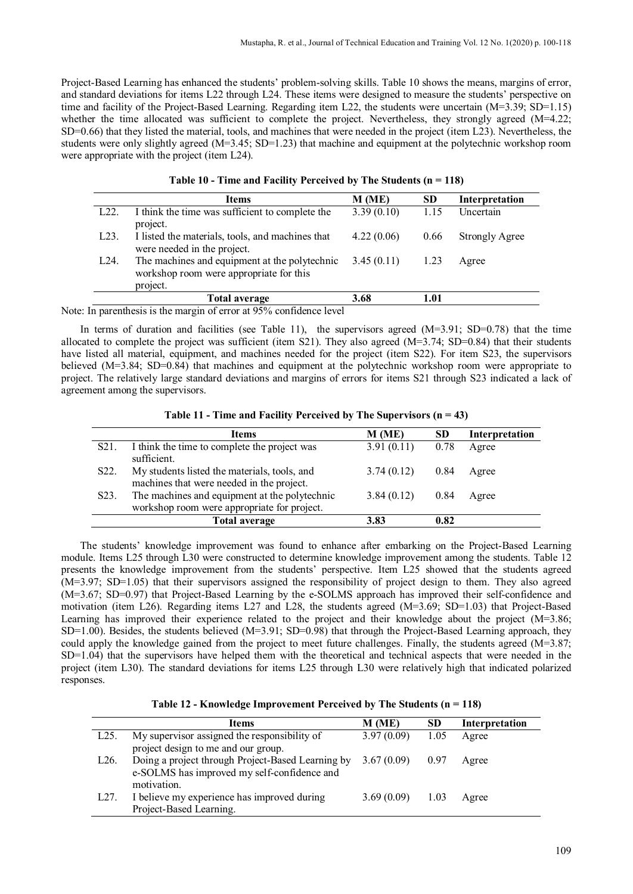Project-Based Learning has enhanced the students' problem-solving skills. Table 10 shows the means, margins of error, and standard deviations for items L22 through L24. These items were designed to measure the students' perspective on time and facility of the Project-Based Learning. Regarding item L22, the students were uncertain (M=3.39; SD=1.15) whether the time allocated was sufficient to complete the project. Nevertheless, they strongly agreed  $(M=4.22;$ SD=0.66) that they listed the material, tools, and machines that were needed in the project (item L23). Nevertheless, the students were only slightly agreed (M=3.45; SD=1.23) that machine and equipment at the polytechnic workshop room were appropriate with the project (item L24).

|                   | Items                                                                                                | M (ME)     | <b>SD</b> | Interpretation        |
|-------------------|------------------------------------------------------------------------------------------------------|------------|-----------|-----------------------|
| L <sub>22</sub> . | I think the time was sufficient to complete the<br>project.                                          | 3.39(0.10) | 1.15      | Uncertain             |
| L <sub>23</sub> . | I listed the materials, tools, and machines that<br>were needed in the project.                      | 4.22(0.06) | 0.66      | <b>Strongly Agree</b> |
| L <sub>24</sub> . | The machines and equipment at the polytechnic<br>workshop room were appropriate for this<br>project. | 3.45(0.11) | 1.23      | Agree                 |
|                   | Total average                                                                                        | 3.68       | 1.01      |                       |

Note: In parenthesis is the margin of error at 95% confidence level

In terms of duration and facilities (see Table 11), the supervisors agreed  $(M=3.91; SD=0.78)$  that the time allocated to complete the project was sufficient (item S21). They also agreed (M=3.74; SD=0.84) that their students have listed all material, equipment, and machines needed for the project (item S22). For item S23, the supervisors believed (M=3.84; SD=0.84) that machines and equipment at the polytechnic workshop room were appropriate to project. The relatively large standard deviations and margins of errors for items S21 through S23 indicated a lack of agreement among the supervisors.

**Table 11 - Time and Facility Perceived by The Supervisors (n = 43)**

|                   | <b>Items</b>                                                                                 | M (ME)     | SD   | Interpretation |
|-------------------|----------------------------------------------------------------------------------------------|------------|------|----------------|
| S <sub>21</sub> . | I think the time to complete the project was<br>sufficient.                                  | 3.91(0.11) | 0.78 | Agree          |
| S <sub>22</sub> . | My students listed the materials, tools, and<br>machines that were needed in the project.    | 3.74(0.12) | 0.84 | Agree          |
| S <sub>2</sub> 3. | The machines and equipment at the polytechnic<br>workshop room were appropriate for project. | 3.84(0.12) | 0.84 | Agree          |
|                   | Total average                                                                                | 3.83       | 0.82 |                |
|                   |                                                                                              |            |      |                |

The students' knowledge improvement was found to enhance after embarking on the Project-Based Learning module. Items L25 through L30 were constructed to determine knowledge improvement among the students. Table 12 presents the knowledge improvement from the students' perspective. Item L25 showed that the students agreed (M=3.97; SD=1.05) that their supervisors assigned the responsibility of project design to them. They also agreed (M=3.67; SD=0.97) that Project-Based Learning by the e-SOLMS approach has improved their self-confidence and motivation (item L26). Regarding items L27 and L28, the students agreed (M=3.69; SD=1.03) that Project-Based Learning has improved their experience related to the project and their knowledge about the project (M=3.86; SD=1.00). Besides, the students believed (M=3.91; SD=0.98) that through the Project-Based Learning approach, they could apply the knowledge gained from the project to meet future challenges. Finally, the students agreed (M=3.87; SD=1.04) that the supervisors have helped them with the theoretical and technical aspects that were needed in the project (item L30). The standard deviations for items L25 through L30 were relatively high that indicated polarized responses.

**Table 12 - Knowledge Improvement Perceived by The Students (n = 118)**

|      | <b>Items</b>                                      | M (ME)     | <b>SD</b> | Interpretation |
|------|---------------------------------------------------|------------|-----------|----------------|
| L25  | My supervisor assigned the responsibility of      | 3.97(0.09) | 1.05      | Agree          |
|      | project design to me and our group.               |            |           |                |
| L26. | Doing a project through Project-Based Learning by | 3.67(0.09) | 0.97      | Agree          |
|      | e-SOLMS has improved my self-confidence and       |            |           |                |
|      | motivation.                                       |            |           |                |
| L27. | I believe my experience has improved during       | 3.69(0.09) | 1.03      | Agree          |
|      | Project-Based Learning.                           |            |           |                |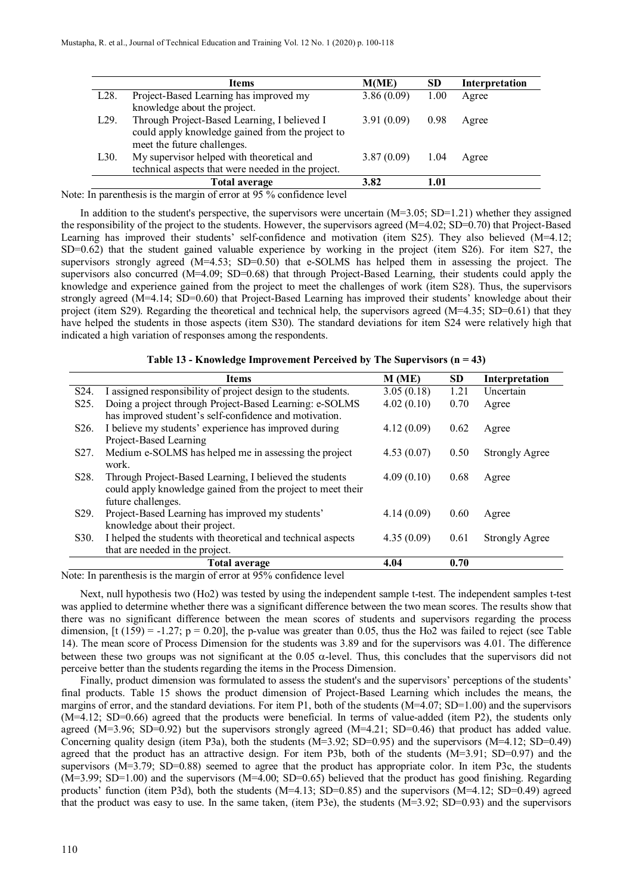|                   | <b>Items</b>                                       | M(ME)      | <b>SD</b> | Interpretation |
|-------------------|----------------------------------------------------|------------|-----------|----------------|
| L <sub>28</sub> . | Project-Based Learning has improved my             | 3.86(0.09) | 1.00      | Agree          |
|                   | knowledge about the project.                       |            |           |                |
| L <sub>29</sub> . | Through Project-Based Learning, I believed I       | 3.91(0.09) | 0.98      | Agree          |
|                   | could apply knowledge gained from the project to   |            |           |                |
|                   | meet the future challenges.                        |            |           |                |
| L30.              | My supervisor helped with theoretical and          | 3.87(0.09) | 1.04      | Agree          |
|                   | technical aspects that were needed in the project. |            |           |                |
|                   | <b>Total average</b>                               | 3.82       | 1.01      |                |

Note: In parenthesis is the margin of error at 95 % confidence level

In addition to the student's perspective, the supervisors were uncertain (M=3.05; SD=1.21) whether they assigned the responsibility of the project to the students. However, the supervisors agreed (M=4.02; SD=0.70) that Project-Based Learning has improved their students' self-confidence and motivation (item S25). They also believed (M=4.12; SD=0.62) that the student gained valuable experience by working in the project (item S26). For item S27, the supervisors strongly agreed (M=4.53; SD=0.50) that e-SOLMS has helped them in assessing the project. The supervisors also concurred (M=4.09; SD=0.68) that through Project-Based Learning, their students could apply the knowledge and experience gained from the project to meet the challenges of work (item S28). Thus, the supervisors strongly agreed (M=4.14; SD=0.60) that Project-Based Learning has improved their students' knowledge about their project (item S29). Regarding the theoretical and technical help, the supervisors agreed  $(M=4.35; SD=0.61)$  that they have helped the students in those aspects (item S30). The standard deviations for item S24 were relatively high that indicated a high variation of responses among the respondents.

**Table 13 - Knowledge Improvement Perceived by The Supervisors (n = 43)**

|                   | <b>Items</b>                                                 | M(ME)      | SD   | Interpretation        |
|-------------------|--------------------------------------------------------------|------------|------|-----------------------|
| S <sub>24</sub> . | I assigned responsibility of project design to the students. | 3.05(0.18) | 1.21 | Uncertain             |
| S <sub>25</sub> . | Doing a project through Project-Based Learning: e-SOLMS      | 4.02(0.10) | 0.70 | Agree                 |
|                   | has improved student's self-confidence and motivation.       |            |      |                       |
| S <sub>26</sub> . | I believe my students' experience has improved during        | 4.12(0.09) | 0.62 | Agree                 |
|                   | Project-Based Learning                                       |            |      |                       |
| S <sub>27</sub> . | Medium e-SOLMS has helped me in assessing the project        | 4.53(0.07) | 0.50 | <b>Strongly Agree</b> |
|                   | work.                                                        |            |      |                       |
| S <sub>28</sub> . | Through Project-Based Learning, I believed the students      | 4.09(0.10) | 0.68 | Agree                 |
|                   | could apply knowledge gained from the project to meet their  |            |      |                       |
|                   | future challenges.                                           |            |      |                       |
| S <sub>29</sub> . | Project-Based Learning has improved my students'             | 4.14(0.09) | 0.60 | Agree                 |
|                   | knowledge about their project.                               |            |      |                       |
| S <sub>30</sub> . | I helped the students with theoretical and technical aspects | 4.35(0.09) | 0.61 | <b>Strongly Agree</b> |
|                   | that are needed in the project.                              |            |      |                       |
|                   | <b>Total average</b>                                         | 4.04       | 0.70 |                       |

Note: In parenthesis is the margin of error at 95% confidence level

Next, null hypothesis two (Ho2) was tested by using the independent sample t-test. The independent samples t-test was applied to determine whether there was a significant difference between the two mean scores. The results show that there was no significant difference between the mean scores of students and supervisors regarding the process dimension,  $[t (159) = -1.27; p = 0.20]$ , the p-value was greater than 0.05, thus the Ho2 was failed to reject (see Table 14). The mean score of Process Dimension for the students was 3.89 and for the supervisors was 4.01. The difference between these two groups was not significant at the 0.05 α-level. Thus, this concludes that the supervisors did not perceive better than the students regarding the items in the Process Dimension.

Finally, product dimension was formulated to assess the student's and the supervisors' perceptions of the students' final products. Table 15 shows the product dimension of Project-Based Learning which includes the means, the margins of error, and the standard deviations. For item P1, both of the students  $(M=4.07; SD=1.00)$  and the supervisors (M=4.12; SD=0.66) agreed that the products were beneficial. In terms of value-added (item P2), the students only agreed (M=3.96; SD=0.92) but the supervisors strongly agreed (M=4.21; SD=0.46) that product has added value. Concerning quality design (item P3a), both the students (M=3.92; SD=0.95) and the supervisors (M=4.12; SD=0.49) agreed that the product has an attractive design. For item P3b, both of the students  $(M=3.91; SD=0.97)$  and the supervisors (M=3.79; SD=0.88) seemed to agree that the product has appropriate color. In item P3c, the students (M=3.99; SD=1.00) and the supervisors (M=4.00; SD=0.65) believed that the product has good finishing. Regarding products' function (item P3d), both the students (M=4.13; SD=0.85) and the supervisors (M=4.12; SD=0.49) agreed that the product was easy to use. In the same taken, (item P3e), the students (M=3.92; SD=0.93) and the supervisors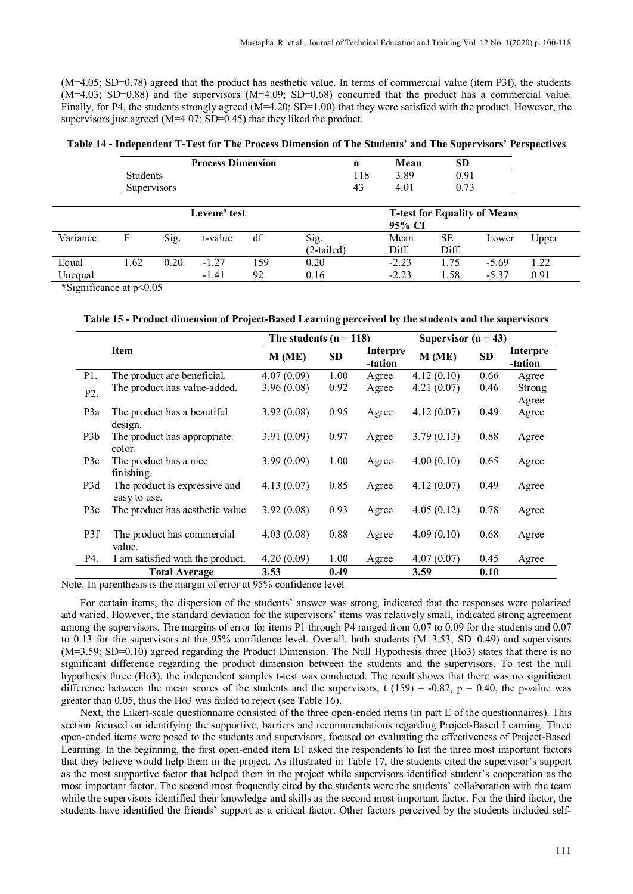(M=4.05; SD=0.78) agreed that the product has aesthetic value. In terms of commercial value (item P3f), the students (M=4.03; SD=0.88) and the supervisors (M=4.09; SD=0.68) concurred that the product has a commercial value. Finally, for P4, the students strongly agreed  $(M=4.20; SD=1.00)$  that they were satisfied with the product. However, the supervisors just agreed (M=4.07; SD=0.45) that they liked the product.

| Table 14 - Independent T-Test for The Process Dimension of The Students' and The Supervisors' Perspectives |  |  |  |
|------------------------------------------------------------------------------------------------------------|--|--|--|
|                                                                                                            |  |  |  |

|          | <b>Process Dimension</b> |      |              |     | n          |     | Mean                                | <b>SD</b> |         |       |
|----------|--------------------------|------|--------------|-----|------------|-----|-------------------------------------|-----------|---------|-------|
|          | Students                 |      |              |     |            | 118 | 3.89                                | 0.91      |         |       |
|          | <b>Supervisors</b>       |      |              |     |            | 43  | 4.01                                | 0.73      |         |       |
|          |                          |      |              |     |            |     |                                     |           |         |       |
|          |                          |      | Levene' test |     |            |     | <b>T-test for Equality of Means</b> |           |         |       |
|          |                          |      |              |     |            |     | 95% CI                              |           |         |       |
| Variance | F                        | Sig. | t-value      | df  | Sig.       |     | Mean                                | SЕ        | Lower   | Upper |
|          |                          |      |              |     | (2-tailed) |     | Diff.                               | Diff.     |         |       |
| Equal    | 1.62                     | 0.20 | $-1.27$      | 159 | 0.20       |     | $-2.23$                             | 1.75      | $-5.69$ | 1.22  |
| Unequal  |                          |      | $-1.41$      | 92  | 0.16       |     | $-2.23$                             | 1.58      | $-5.37$ | 0.91  |

**\***Significance at p<0.05

|  |  | Table 15 - Product dimension of Project-Based Learning perceived by the students and the supervisors |  |
|--|--|------------------------------------------------------------------------------------------------------|--|
|  |  |                                                                                                      |  |

|                  |                                               | The students $(n = 118)$ |           | Supervisor $(n = 43)$ |            |           |                     |
|------------------|-----------------------------------------------|--------------------------|-----------|-----------------------|------------|-----------|---------------------|
|                  | <b>Item</b>                                   | M(ME)                    | <b>SD</b> | Interpre<br>-tation   | M(ME)      | <b>SD</b> | Interpre<br>-tation |
| P1.              | The product are beneficial.                   | 4.07(0.09)               | 1.00      | Agree                 | 4.12(0.10) | 0.66      | Agree               |
| P <sub>2</sub> . | The product has value-added.                  | 3.96(0.08)               | 0.92      | Agree                 | 4.21(0.07) | 0.46      | Strong<br>Agree     |
| P3a              | The product has a beautiful<br>design.        | 3.92(0.08)               | 0.95      | Agree                 | 4.12(0.07) | 0.49      | Agree               |
| P <sub>3</sub> b | The product has appropriate<br>color.         | 3.91(0.09)               | 0.97      | Agree                 | 3.79(0.13) | 0.88      | Agree               |
| P <sub>3</sub> c | The product has a nice<br>finishing.          | 3.99(0.09)               | 1.00      | Agree                 | 4.00(0.10) | 0.65      | Agree               |
| P3d              | The product is expressive and<br>easy to use. | 4.13(0.07)               | 0.85      | Agree                 | 4.12(0.07) | 0.49      | Agree               |
| P3e              | The product has aesthetic value.              | 3.92(0.08)               | 0.93      | Agree                 | 4.05(0.12) | 0.78      | Agree               |
| P3f              | The product has commercial<br>value.          | 4.03(0.08)               | 0.88      | Agree                 | 4.09(0.10) | 0.68      | Agree               |
| P4.              | I am satisfied with the product.              | 4.20(0.09)               | 1.00      | Agree                 | 4.07(0.07) | 0.45      | Agree               |
|                  | <b>Total Average</b>                          | 3.53                     | 0.49      |                       | 3.59       | 0.10      |                     |

Note: In parenthesis is the margin of error at 95% confidence level

For certain items, the dispersion of the students' answer was strong, indicated that the responses were polarized and varied. However, the standard deviation for the supervisors' items was relatively small, indicated strong agreement among the supervisors. The margins of error for items P1 through P4 ranged from 0.07 to 0.09 for the students and 0.07 to 0.13 for the supervisors at the 95% confidence level. Overall, both students (M=3.53; SD=0.49) and supervisors (M=3.59; SD=0.10) agreed regarding the Product Dimension. The Null Hypothesis three (Ho3) states that there is no significant difference regarding the product dimension between the students and the supervisors. To test the null hypothesis three (Ho3), the independent samples t-test was conducted. The result shows that there was no significant difference between the mean scores of the students and the supervisors, t (159) = -0.82, p = 0.40, the p-value was greater than 0.05, thus the Ho3 was failed to reject (see Table 16).

Next, the Likert-scale questionnaire consisted of the three open-ended items (in part E of the questionnaires). This section focused on identifying the supportive, barriers and recommendations regarding Project-Based Learning. Three open-ended items were posed to the students and supervisors, focused on evaluating the effectiveness of Project-Based Learning. In the beginning, the first open-ended item E1 asked the respondents to list the three most important factors that they believe would help them in the project. As illustrated in Table 17, the students cited the supervisor's support as the most supportive factor that helped them in the project while supervisors identified student's cooperation as the most important factor. The second most frequently cited by the students were the students' collaboration with the team while the supervisors identified their knowledge and skills as the second most important factor. For the third factor, the students have identified the friends' support as a critical factor. Other factors perceived by the students included self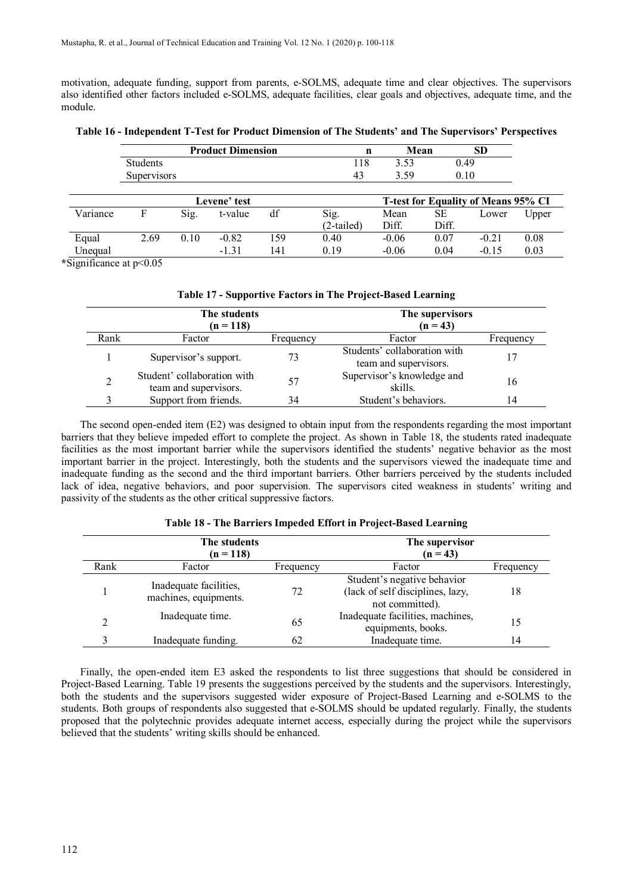motivation, adequate funding, support from parents, e-SOLMS, adequate time and clear objectives. The supervisors also identified other factors included e-SOLMS, adequate facilities, clear goals and objectives, adequate time, and the module.

**Table 16 - Independent T-Test for Product Dimension of The Students' and The Supervisors' Perspectives**

|          |                    |      | <b>Product Dimension</b> |     | $\mathbf n$        | Mean          |             | <b>SD</b>                                  |       |
|----------|--------------------|------|--------------------------|-----|--------------------|---------------|-------------|--------------------------------------------|-------|
|          | Students           |      |                          |     | 118                | 3.53          | 0.49        |                                            |       |
|          | <b>Supervisors</b> |      |                          |     | 43                 | 3.59          | 0.10        |                                            |       |
|          |                    |      | Levene' test             |     |                    |               |             | <b>T-test for Equality of Means 95% CI</b> |       |
| Variance | F                  | Sig. | t-value                  | df  | Sig.<br>(2-tailed) | Mean<br>Diff. | SЕ<br>Diff. | Lower                                      | Upper |
| Equal    | 2.69               | 0.10 | $-0.82$                  | 159 | 0.40               | $-0.06$       | 0.07        | $-0.21$                                    | 0.08  |
| Unequal  |                    |      | $-1.31$                  | 141 | 0.19               | $-0.06$       | 0.04        | $-0.15$                                    | 0.03  |

**\***Significance at p<0.05

| Table 17 - Supportive Factors in The Project-Based Learning |  |  |
|-------------------------------------------------------------|--|--|
|                                                             |  |  |

|      | The students<br>$(n = 118)$                          | The supervisors<br>$(n = 43)$ |                                                       |           |
|------|------------------------------------------------------|-------------------------------|-------------------------------------------------------|-----------|
| Rank | Factor                                               | Frequency                     | Factor                                                | Frequency |
|      | Supervisor's support.                                | 73                            | Students' collaboration with<br>team and supervisors. |           |
|      | Student' collaboration with<br>team and supervisors. | 57                            | Supervisor's knowledge and<br>skills.                 | 16        |
|      | Support from friends.                                | 34                            | Student's behaviors.                                  | 14        |

The second open-ended item (E2) was designed to obtain input from the respondents regarding the most important barriers that they believe impeded effort to complete the project. As shown in Table 18, the students rated inadequate facilities as the most important barrier while the supervisors identified the students' negative behavior as the most important barrier in the project. Interestingly, both the students and the supervisors viewed the inadequate time and inadequate funding as the second and the third important barriers. Other barriers perceived by the students included lack of idea, negative behaviors, and poor supervision. The supervisors cited weakness in students' writing and passivity of the students as the other critical suppressive factors.

|      | The students<br>$(n = 118)$                     | The supervisor<br>$(n = 43)$ |                                                                                    |           |
|------|-------------------------------------------------|------------------------------|------------------------------------------------------------------------------------|-----------|
| Rank | Factor                                          | Frequency                    | Factor                                                                             | Frequency |
|      | Inadequate facilities,<br>machines, equipments. | 72                           | Student's negative behavior<br>(lack of self disciplines, lazy,<br>not committed). | 18        |
|      | Inadequate time.                                | 65                           | Inadequate facilities, machines,<br>equipments, books.                             | 15        |
|      | Inadequate funding.                             | 62                           | Inadequate time.                                                                   | 14        |

#### **Table 18 - The Barriers Impeded Effort in Project-Based Learning**

Finally, the open-ended item E3 asked the respondents to list three suggestions that should be considered in Project-Based Learning. Table 19 presents the suggestions perceived by the students and the supervisors. Interestingly, both the students and the supervisors suggested wider exposure of Project-Based Learning and e-SOLMS to the students. Both groups of respondents also suggested that e-SOLMS should be updated regularly. Finally, the students proposed that the polytechnic provides adequate internet access, especially during the project while the supervisors believed that the students' writing skills should be enhanced.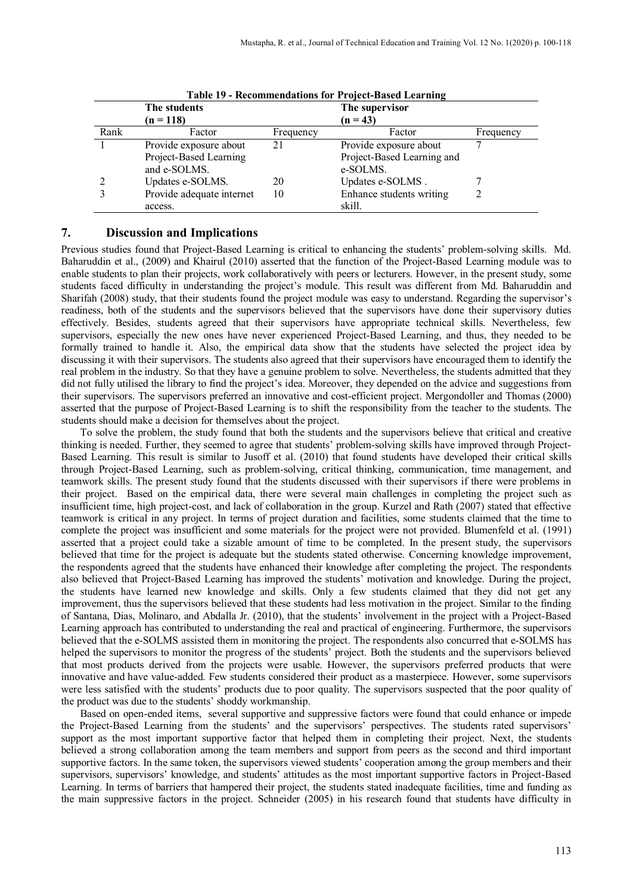|      |                           |           | Table 17 - Recommendations for Troject-Dased Leaf mil <u>e</u> |           |
|------|---------------------------|-----------|----------------------------------------------------------------|-----------|
|      | The students              |           | The supervisor                                                 |           |
|      | $(n = 118)$               |           | $(n = 43)$                                                     |           |
| Rank | Factor                    | Frequency | Factor                                                         | Frequency |
|      | Provide exposure about    | 21        | Provide exposure about                                         |           |
|      | Project-Based Learning    |           | Project-Based Learning and                                     |           |
|      | and e-SOLMS.              |           | e-SOLMS.                                                       |           |
|      | Updates e-SOLMS.          | 20        | Updates e-SOLMS.                                               |           |
|      | Provide adequate internet | 10        | Enhance students writing                                       |           |
|      | access.                   |           | skill.                                                         |           |

|  | <b>Table 19 - Recommendations for Project-Based Learning</b> |  |  |
|--|--------------------------------------------------------------|--|--|
|  |                                                              |  |  |

#### **7. Discussion and Implications**

Previous studies found that Project-Based Learning is critical to enhancing the students' problem-solving skills. Md. Baharuddin et al., (2009) and Khairul (2010) asserted that the function of the Project-Based Learning module was to enable students to plan their projects, work collaboratively with peers or lecturers. However, in the present study, some students faced difficulty in understanding the project's module. This result was different from Md. Baharuddin and Sharifah (2008) study, that their students found the project module was easy to understand. Regarding the supervisor's readiness, both of the students and the supervisors believed that the supervisors have done their supervisory duties effectively. Besides, students agreed that their supervisors have appropriate technical skills. Nevertheless, few supervisors, especially the new ones have never experienced Project-Based Learning, and thus, they needed to be formally trained to handle it. Also, the empirical data show that the students have selected the project idea by discussing it with their supervisors. The students also agreed that their supervisors have encouraged them to identify the real problem in the industry. So that they have a genuine problem to solve. Nevertheless, the students admitted that they did not fully utilised the library to find the project's idea. Moreover, they depended on the advice and suggestions from their supervisors. The supervisors preferred an innovative and cost-efficient project. Mergondoller and Thomas (2000) asserted that the purpose of Project-Based Learning is to shift the responsibility from the teacher to the students. The students should make a decision for themselves about the project.

To solve the problem, the study found that both the students and the supervisors believe that critical and creative thinking is needed. Further, they seemed to agree that students' problem-solving skills have improved through Project-Based Learning. This result is similar to Jusoff et al. (2010) that found students have developed their critical skills through Project-Based Learning, such as problem-solving, critical thinking, communication, time management, and teamwork skills. The present study found that the students discussed with their supervisors if there were problems in their project. Based on the empirical data, there were several main challenges in completing the project such as insufficient time, high project-cost, and lack of collaboration in the group. Kurzel and Rath (2007) stated that effective teamwork is critical in any project. In terms of project duration and facilities, some students claimed that the time to complete the project was insufficient and some materials for the project were not provided. Blumenfeld et al. (1991) asserted that a project could take a sizable amount of time to be completed. In the present study, the supervisors believed that time for the project is adequate but the students stated otherwise. Concerning knowledge improvement, the respondents agreed that the students have enhanced their knowledge after completing the project. The respondents also believed that Project-Based Learning has improved the students' motivation and knowledge. During the project, the students have learned new knowledge and skills. Only a few students claimed that they did not get any improvement, thus the supervisors believed that these students had less motivation in the project. Similar to the finding of Santana, Dias, Molinaro, and Abdalla Jr. (2010), that the students' involvement in the project with a Project-Based Learning approach has contributed to understanding the real and practical of engineering. Furthermore, the supervisors believed that the e-SOLMS assisted them in monitoring the project. The respondents also concurred that e-SOLMS has helped the supervisors to monitor the progress of the students' project. Both the students and the supervisors believed that most products derived from the projects were usable. However, the supervisors preferred products that were innovative and have value-added. Few students considered their product as a masterpiece. However, some supervisors were less satisfied with the students' products due to poor quality. The supervisors suspected that the poor quality of the product was due to the students' shoddy workmanship.

Based on open-ended items, several supportive and suppressive factors were found that could enhance or impede the Project-Based Learning from the students' and the supervisors' perspectives. The students rated supervisors' support as the most important supportive factor that helped them in completing their project. Next, the students believed a strong collaboration among the team members and support from peers as the second and third important supportive factors. In the same token, the supervisors viewed students' cooperation among the group members and their supervisors, supervisors' knowledge, and students' attitudes as the most important supportive factors in Project-Based Learning. In terms of barriers that hampered their project, the students stated inadequate facilities, time and funding as the main suppressive factors in the project. Schneider (2005) in his research found that students have difficulty in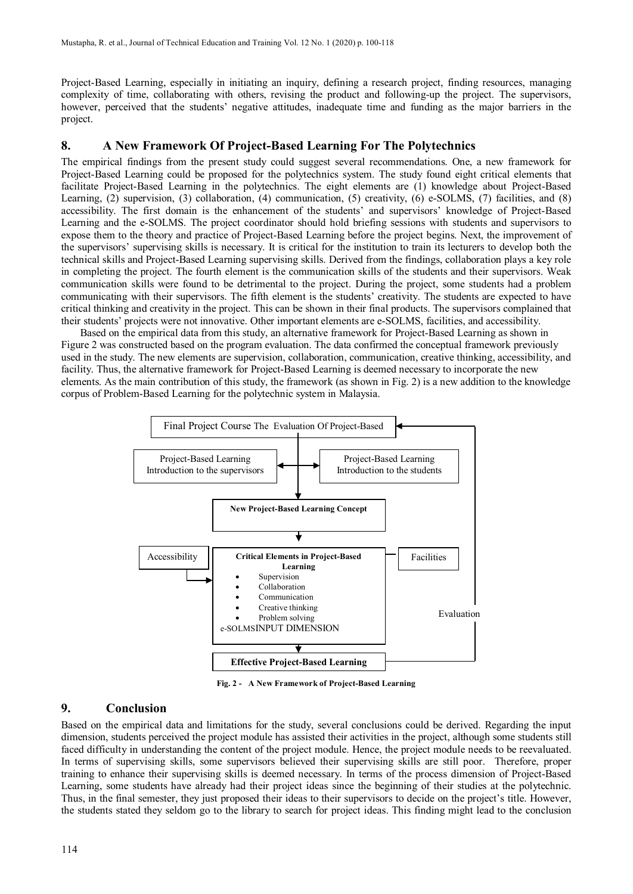Project-Based Learning, especially in initiating an inquiry, defining a research project, finding resources, managing complexity of time, collaborating with others, revising the product and following-up the project. The supervisors, however, perceived that the students' negative attitudes, inadequate time and funding as the major barriers in the project.

# **8. A New Framework Of Project-Based Learning For The Polytechnics**

The empirical findings from the present study could suggest several recommendations. One, a new framework for Project-Based Learning could be proposed for the polytechnics system. The study found eight critical elements that facilitate Project-Based Learning in the polytechnics. The eight elements are (1) knowledge about Project-Based Learning, (2) supervision, (3) collaboration, (4) communication, (5) creativity, (6) e-SOLMS, (7) facilities, and (8) accessibility. The first domain is the enhancement of the students' and supervisors' knowledge of Project-Based Learning and the e-SOLMS. The project coordinator should hold briefing sessions with students and supervisors to expose them to the theory and practice of Project-Based Learning before the project begins. Next, the improvement of the supervisors' supervising skills is necessary. It is critical for the institution to train its lecturers to develop both the technical skills and Project-Based Learning supervising skills. Derived from the findings, collaboration plays a key role in completing the project. The fourth element is the communication skills of the students and their supervisors. Weak communication skills were found to be detrimental to the project. During the project, some students had a problem communicating with their supervisors. The fifth element is the students' creativity. The students are expected to have critical thinking and creativity in the project. This can be shown in their final products. The supervisors complained that their students' projects were not innovative. Other important elements are e-SOLMS, facilities, and accessibility.

Based on the empirical data from this study, an alternative framework for Project-Based Learning as shown in Figure 2 was constructed based on the program evaluation. The data confirmed the conceptual framework previously used in the study. The new elements are supervision, collaboration, communication, creative thinking, accessibility, and facility. Thus, the alternative framework for Project-Based Learning is deemed necessary to incorporate the new elements. As the main contribution of this study, the framework (as shown in Fig. 2) is a new addition to the knowledge corpus of Problem-Based Learning for the polytechnic system in Malaysia.



**Fig. 2 - A New Framework of Project-Based Learning**

# **9. Conclusion**

Based on the empirical data and limitations for the study, several conclusions could be derived. Regarding the input dimension, students perceived the project module has assisted their activities in the project, although some students still faced difficulty in understanding the content of the project module. Hence, the project module needs to be reevaluated. In terms of supervising skills, some supervisors believed their supervising skills are still poor. Therefore, proper training to enhance their supervising skills is deemed necessary. In terms of the process dimension of Project-Based Learning, some students have already had their project ideas since the beginning of their studies at the polytechnic. Thus, in the final semester, they just proposed their ideas to their supervisors to decide on the project's title. However, the students stated they seldom go to the library to search for project ideas. This finding might lead to the conclusion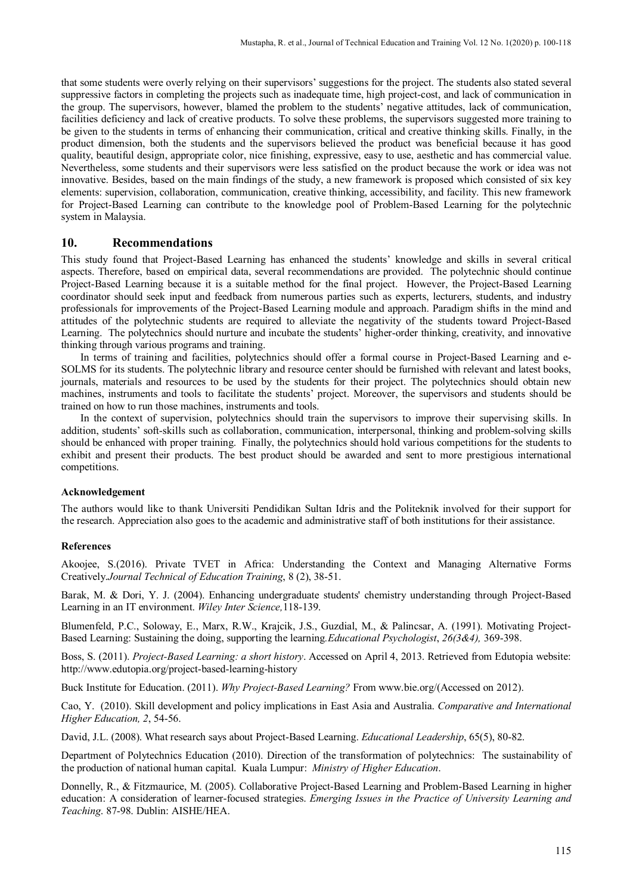that some students were overly relying on their supervisors' suggestions for the project. The students also stated several suppressive factors in completing the projects such as inadequate time, high project-cost, and lack of communication in the group. The supervisors, however, blamed the problem to the students' negative attitudes, lack of communication, facilities deficiency and lack of creative products. To solve these problems, the supervisors suggested more training to be given to the students in terms of enhancing their communication, critical and creative thinking skills. Finally, in the product dimension, both the students and the supervisors believed the product was beneficial because it has good quality, beautiful design, appropriate color, nice finishing, expressive, easy to use, aesthetic and has commercial value. Nevertheless, some students and their supervisors were less satisfied on the product because the work or idea was not innovative. Besides, based on the main findings of the study, a new framework is proposed which consisted of six key elements: supervision, collaboration, communication, creative thinking, accessibility, and facility. This new framework for Project-Based Learning can contribute to the knowledge pool of Problem-Based Learning for the polytechnic system in Malaysia.

#### **10. Recommendations**

This study found that Project-Based Learning has enhanced the students' knowledge and skills in several critical aspects. Therefore, based on empirical data, several recommendations are provided. The polytechnic should continue Project-Based Learning because it is a suitable method for the final project. However, the Project-Based Learning coordinator should seek input and feedback from numerous parties such as experts, lecturers, students, and industry professionals for improvements of the Project-Based Learning module and approach. Paradigm shifts in the mind and attitudes of the polytechnic students are required to alleviate the negativity of the students toward Project-Based Learning. The polytechnics should nurture and incubate the students' higher-order thinking, creativity, and innovative thinking through various programs and training.

In terms of training and facilities, polytechnics should offer a formal course in Project-Based Learning and e-SOLMS for its students. The polytechnic library and resource center should be furnished with relevant and latest books, journals, materials and resources to be used by the students for their project. The polytechnics should obtain new machines, instruments and tools to facilitate the students' project. Moreover, the supervisors and students should be trained on how to run those machines, instruments and tools.

In the context of supervision, polytechnics should train the supervisors to improve their supervising skills. In addition, students' soft-skills such as collaboration, communication, interpersonal, thinking and problem-solving skills should be enhanced with proper training. Finally, the polytechnics should hold various competitions for the students to exhibit and present their products. The best product should be awarded and sent to more prestigious international competitions.

#### **Acknowledgement**

The authors would like to thank Universiti Pendidikan Sultan Idris and the Politeknik involved for their support for the research. Appreciation also goes to the academic and administrative staff of both institutions for their assistance.

#### **References**

Akoojee, S.(2016). Private TVET in Africa: Understanding the Context and Managing Alternative Forms Creatively.*Journal Technical of Education Training*, 8 (2), 38-51.

Barak, M. & Dori, Y. J. (2004). Enhancing undergraduate students' chemistry understanding through Project-Based Learning in an IT environment. *Wiley Inter Science,*118-139.

Blumenfeld, P.C., Soloway, E., Marx, R.W., Krajcik, J.S., Guzdial, M., & Palincsar, A. (1991). Motivating Project-Based Learning: Sustaining the doing, supporting the learning*.Educational Psychologist*, *26(3&4),* 369-398.

Boss, S. (2011). *Project-Based Learning: a short history*. Accessed on April 4, 2013. Retrieved from Edutopia website: http://www.edutopia.org/project-based-learning-history

Buck Institute for Education. (2011). *Why Project-Based Learning?* From www[.bie.org/\(](http://bie.org/)Accessed on 2012).

Cao, Y. (2010). Skill development and policy implications in East Asia and Australia. *Comparative and International Higher Education, 2*, 54-56.

David, J.L. (2008). What research says about Project-Based Learning. *Educational Leadership*, 65(5), 80-82.

Department of Polytechnics Education (2010). Direction of the transformation of polytechnics: The sustainability of the production of national human capital. Kuala Lumpur: *Ministry of Higher Education*.

Donnelly, R., & Fitzmaurice, M. (2005). Collaborative Project-Based Learning and Problem-Based Learning in higher education: A consideration of learner-focused strategies. *Emerging Issues in the Practice of University Learning and Teaching*. 87-98. Dublin: AISHE/HEA.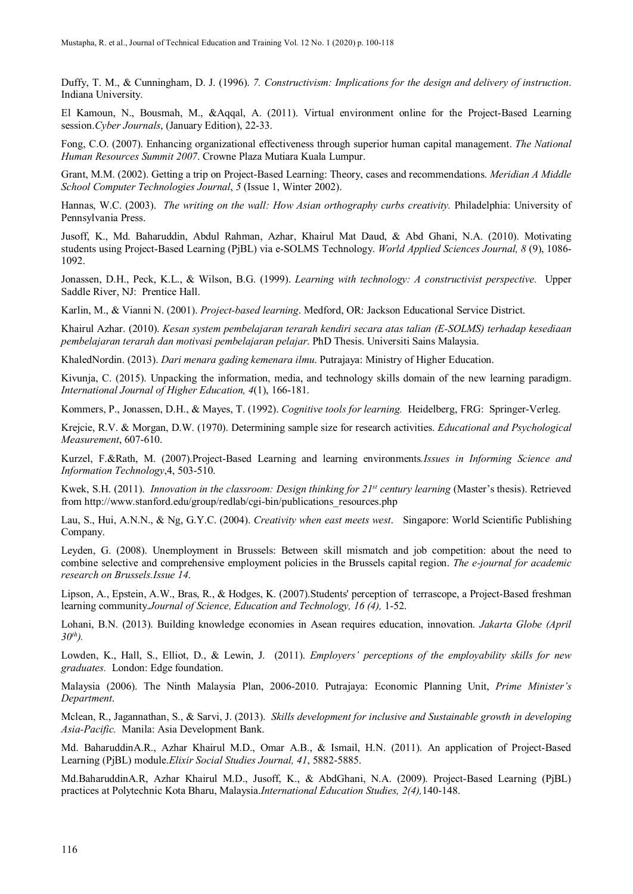Duffy, T. M., & Cunningham, D. J. (1996). *7. Constructivism: Implications for the design and delivery of instruction*. Indiana University.

El Kamoun, N., Bousmah, M., &Aqqal, A. (2011). Virtual environment online for the Project-Based Learning session.*Cyber Journals*, (January Edition), 22-33.

Fong, C.O. (2007). Enhancing organizational effectiveness through superior human capital management. *The National Human Resources Summit 2007*. Crowne Plaza Mutiara Kuala Lumpur.

Grant, M.M. (2002). Getting a trip on Project-Based Learning: Theory, cases and recommendations. *Meridian A Middle School Computer Technologies Journal*, *5* (Issue 1, Winter 2002).

Hannas, W.C. (2003). *The writing on the wall: How Asian orthography curbs creativity.* Philadelphia: University of Pennsylvania Press.

Jusoff, K., Md. Baharuddin, Abdul Rahman, Azhar, Khairul Mat Daud, & Abd Ghani, N.A. (2010). Motivating students using Project-Based Learning (PjBL) via e-SOLMS Technology. *World Applied Sciences Journal, 8* (9), 1086- 1092.

Jonassen, D.H., Peck, K.L., & Wilson, B.G. (1999). *Learning with technology: A constructivist perspective.* Upper Saddle River, NJ: Prentice Hall.

Karlin, M., & Vianni N. (2001). *Project-based learning*. Medford, OR: Jackson Educational Service District.

Khairul Azhar. (2010). *Kesan system pembelajaran terarah kendiri secara atas talian (E-SOLMS) terhadap kesediaan pembelajaran terarah dan motivasi pembelajaran pelajar*. PhD Thesis. Universiti Sains Malaysia.

KhaledNordin. (2013). *Dari menara gading kemenara ilmu*. Putrajaya: Ministry of Higher Education.

Kivunja, C. (2015). Unpacking the information, media, and technology skills domain of the new learning paradigm. *International Journal of Higher Education, 4*(1), 166-181.

Kommers, P., Jonassen, D.H., & Mayes, T. (1992). *Cognitive tools for learning.* Heidelberg, FRG: Springer-Verleg.

Krejcie, R.V. & Morgan, D.W. (1970). Determining sample size for research activities. *Educational and Psychological Measurement*, 607-610.

Kurzel, F.&Rath, M. (2007).Project-Based Learning and learning environments*.Issues in Informing Science and Information Technology*,4, 503-510.

Kwek, S.H. (2011). *Innovation in the classroom: Design thinking for 21<sup>st</sup> century learning (Master's thesis). Retrieved* from http://www.stanford.edu/group/redlab/cgi-bin/publications\_resources.php

Lau, S., Hui, A.N.N., & Ng, G.Y.C. (2004). *Creativity when east meets west*. Singapore: World Scientific Publishing Company.

Leyden, G. (2008). Unemployment in Brussels: Between skill mismatch and job competition: about the need to combine selective and comprehensive employment policies in the Brussels capital region. *The e-journal for academic research on Brussels.Issue 14*.

Lipson, A., Epstein, A.W., Bras, R., & Hodges, K. (2007).Students' perception of terrascope, a Project-Based freshman learning community.*Journal of Science, Education and Technology, 16 (4),* 1-52.

Lohani, B.N. (2013). Building knowledge economies in Asean requires education, innovation. *Jakarta Globe (April*   $30^{th}$ ).

Lowden, K., Hall, S., Elliot, D., & Lewin, J. (2011). *Employers' perceptions of the employability skills for new graduates.* London: Edge foundation.

Malaysia (2006). The Ninth Malaysia Plan, 2006-2010. Putrajaya: Economic Planning Unit, *Prime Minister's Department*.

Mclean, R., Jagannathan, S., & Sarvi, J. (2013). *Skills development for inclusive and Sustainable growth in developing Asia-Pacific.* Manila: Asia Development Bank.

Md. BaharuddinA.R., Azhar Khairul M.D., Omar A.B., & Ismail, H.N. (2011). An application of Project-Based Learning (PjBL) module.*Elixir Social Studies Journal, 41*, 5882-5885.

Md.BaharuddinA.R, Azhar Khairul M.D., Jusoff, K., & AbdGhani, N.A. (2009). Project-Based Learning (PjBL) practices at Polytechnic Kota Bharu, Malaysia.*International Education Studies, 2(4),*140-148.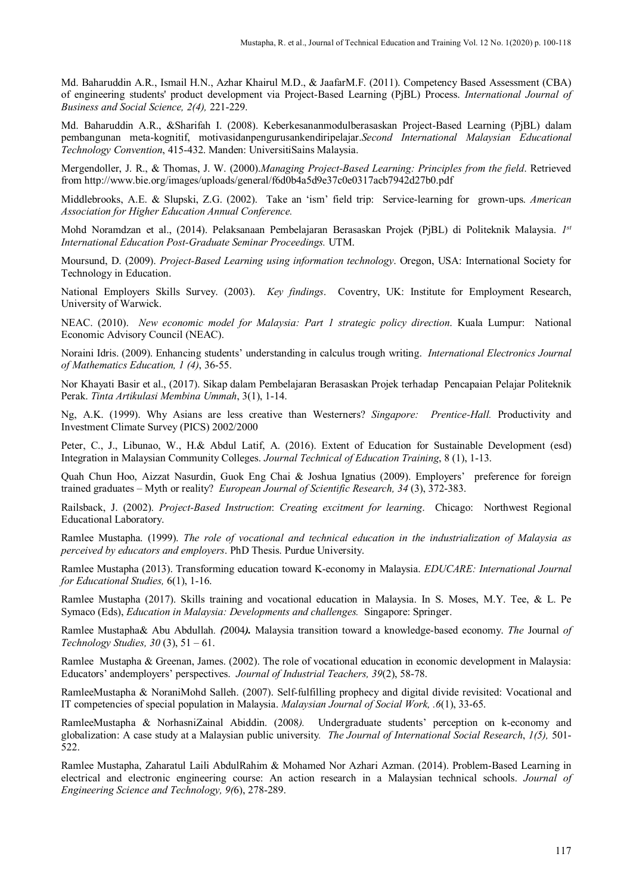Md. Baharuddin A.R., Ismail H.N., Azhar Khairul M.D., & JaafarM.F. (2011). Competency Based Assessment (CBA) of engineering students' product development via Project-Based Learning (PjBL) Process. *International Journal of Business and Social Science, 2(4),* 221-229.

Md. Baharuddin A.R., &Sharifah I. (2008). Keberkesananmodulberasaskan Project-Based Learning (PjBL) dalam pembangunan meta-kognitif, motivasidanpengurusankendiripelajar.*Second International Malaysian Educational Technology Convention*, 415-432. Manden: UniversitiSains Malaysia.

Mergendoller, J. R., & Thomas, J. W. (2000).*Managing Project-Based Learning: Principles from the field*. Retrieved from http://www.bie.org/images/uploads/general/f6d0b4a5d9e37c0e0317acb7942d27b0.pdf

Middlebrooks, A.E. & Slupski, Z.G. (2002). Take an 'ism' field trip: Service-learning for grown-ups. *American Association for Higher Education Annual Conference.*

Mohd Noramdzan et al., (2014). Pelaksanaan Pembelajaran Berasaskan Projek (PjBL) di Politeknik Malaysia. *1st International Education Post-Graduate Seminar Proceedings.* UTM.

Moursund, D. (2009). *Project-Based Learning using information technology*. Oregon, USA: International Society for Technology in Education.

National Employers Skills Survey. (2003). *Key findings*. Coventry, UK: Institute for Employment Research, University of Warwick.

NEAC. (2010). *New economic model for Malaysia: Part 1 strategic policy direction*. Kuala Lumpur: National Economic Advisory Council (NEAC).

Noraini Idris. (2009). Enhancing students' understanding in calculus trough writing. *International Electronics Journal of Mathematics Education, 1 (4)*, 36-55.

Nor Khayati Basir et al., (2017). Sikap dalam Pembelajaran Berasaskan Projek terhadap Pencapaian Pelajar Politeknik Perak. *Tinta Artikulasi Membina Ummah*, 3(1), 1-14.

Ng, A.K. (1999). Why Asians are less creative than Westerners? *Singapore: Prentice-Hall.* Productivity and Investment Climate Survey (PICS) 2002/2000

Peter, C., J., Libunao, W., H.& Abdul Latif, A. (2016). Extent of Education for Sustainable Development (esd) Integration in Malaysian Community Colleges. *Journal Technical of Education Training*, 8 (1), 1-13.

Quah Chun Hoo, Aizzat Nasurdin, Guok Eng Chai & Joshua Ignatius (2009). Employers' preference for foreign trained graduates – Myth or reality? *European Journal of Scientific Research, 34* (3), 372-383.

Railsback, J. (2002). *Project-Based Instruction*: *Creating excitment for learning*. Chicago: Northwest Regional Educational Laboratory.

Ramlee Mustapha. (1999). *The role of vocational and technical education in the industrialization of Malaysia as perceived by educators and employers*. PhD Thesis. Purdue University.

Ramlee Mustapha (2013). Transforming education toward K-economy in Malaysia. *EDUCARE: International Journal for Educational Studies,* 6(1), 1-16.

Ramlee Mustapha (2017). Skills training and vocational education in Malaysia. In S. Moses, M.Y. Tee, & L. Pe Symaco (Eds), *Education in Malaysia: Developments and challenges.* Singapore: Springer.

Ramlee Mustapha& Abu Abdullah*. (*2004*).* Malaysia transition toward a knowledge-based economy. *The* Journal *of Technology Studies, 30* (3), 51 – 61.

Ramlee Mustapha & Greenan, James. (2002). The role of vocational education in economic development in Malaysia: Educators' andemployers' perspectives. *Journal of Industrial Teachers, 39*(2), 58-78.

RamleeMustapha & NoraniMohd Salleh. (2007). Self-fulfilling prophecy and digital divide revisited: Vocational and IT competencies of special population in Malaysia. *Malaysian Journal of Social Work, .6*(1), 33-65.

RamleeMustapha & NorhasniZainal Abiddin. (2008*).* Undergraduate students' perception on k-economy and globalization: A case study at a Malaysian public university*. The Journal of International Social Research*, *1(5),* 501- 522.

Ramlee Mustapha, Zaharatul Laili AbdulRahim & Mohamed Nor Azhari Azman. (2014). Problem-Based Learning in electrical and electronic engineering course: An action research in a Malaysian technical schools. *Journal of Engineering Science and Technology, 9(*6), 278-289.